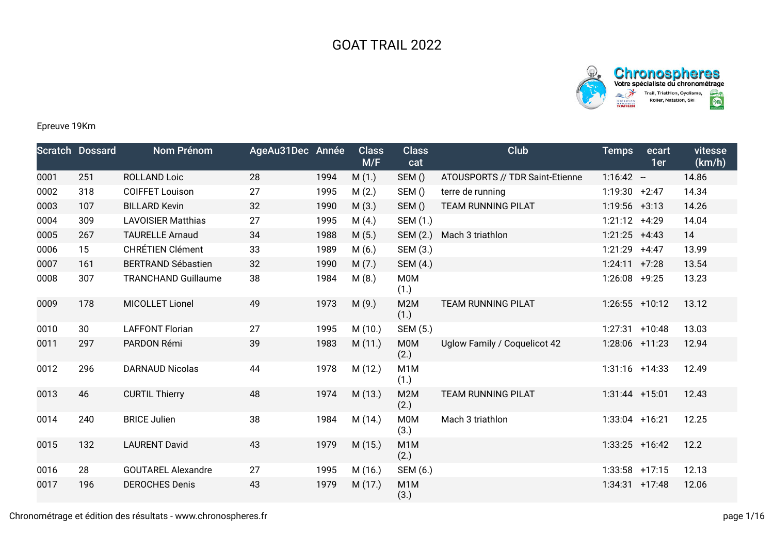



## Epreuve 19Km

|      | <b>Scratch Dossard</b> | Nom Prénom                 | AgeAu31Dec Année |      | <b>Class</b><br>M/F | <b>Class</b><br>cat      | Club                            | <b>Temps</b>     | ecart<br>1er | vitesse<br>(km/h) |
|------|------------------------|----------------------------|------------------|------|---------------------|--------------------------|---------------------------------|------------------|--------------|-------------------|
| 0001 | 251                    | <b>ROLLAND Loic</b>        | 28               | 1994 | M(1.)               | SEM()                    | ATOUSPORTS // TDR Saint-Etienne | $1:16:42 -$      |              | 14.86             |
| 0002 | 318                    | <b>COIFFET Louison</b>     | 27               | 1995 | M(2.)               | SEM()                    | terre de running                | 1:19:30          | $+2:47$      | 14.34             |
| 0003 | 107                    | <b>BILLARD Kevin</b>       | 32               | 1990 | M(3.)               | SEM()                    | TEAM RUNNING PILAT              | $1:19:56$ +3:13  |              | 14.26             |
| 0004 | 309                    | <b>LAVOISIER Matthias</b>  | 27               | 1995 | M(4.)               | SEM (1.)                 |                                 | 1:21:12          | $+4:29$      | 14.04             |
| 0005 | 267                    | <b>TAURELLE Arnaud</b>     | 34               | 1988 | M(5.)               | SEM (2.)                 | Mach 3 triathlon                | $1:21:25$ +4:43  |              | 14                |
| 0006 | 15                     | <b>CHRÉTIEN Clément</b>    | 33               | 1989 | M(6.)               | SEM (3.)                 |                                 | 1:21:29          | $+4:47$      | 13.99             |
| 0007 | 161                    | <b>BERTRAND Sébastien</b>  | 32               | 1990 | M(7.)               | SEM (4.)                 |                                 | 1:24:11          | $+7:28$      | 13.54             |
| 0008 | 307                    | <b>TRANCHAND Guillaume</b> | 38               | 1984 | M(8.)               | <b>M0M</b><br>(1.)       |                                 | 1:26:08          | $+9:25$      | 13.23             |
| 0009 | 178                    | <b>MICOLLET Lionel</b>     | 49               | 1973 | M(9.)               | M2M<br>(1.)              | <b>TEAM RUNNING PILAT</b>       | $1:26:55$ +10:12 |              | 13.12             |
| 0010 | 30                     | <b>LAFFONT Florian</b>     | 27               | 1995 | M(10.)              | SEM (5.)                 |                                 | 1:27:31          | $+10:48$     | 13.03             |
| 0011 | 297                    | PARDON Rémi                | 39               | 1983 | M(11.)              | <b>MOM</b><br>(2.)       | Uglow Family / Coquelicot 42    | $1:28:06$ +11:23 |              | 12.94             |
| 0012 | 296                    | <b>DARNAUD Nicolas</b>     | 44               | 1978 | M (12.)             | M <sub>1</sub> M<br>(1.) |                                 | $1:31:16$ +14:33 |              | 12.49             |
| 0013 | 46                     | <b>CURTIL Thierry</b>      | 48               | 1974 | M(13.)              | M2M<br>(2.)              | <b>TEAM RUNNING PILAT</b>       | $1:31:44$ +15:01 |              | 12.43             |
| 0014 | 240                    | <b>BRICE Julien</b>        | 38               | 1984 | M (14.)             | <b>M0M</b><br>(3.)       | Mach 3 triathlon                | $1:33:04$ +16:21 |              | 12.25             |
| 0015 | 132                    | <b>LAURENT David</b>       | 43               | 1979 | M(15.)              | M <sub>1</sub> M<br>(2.) |                                 | $1:33:25$ +16:42 |              | 12.2              |
| 0016 | 28                     | <b>GOUTAREL Alexandre</b>  | 27               | 1995 | M (16.)             | SEM (6.)                 |                                 | $1:33:58$ +17:15 |              | 12.13             |
| 0017 | 196                    | <b>DEROCHES Denis</b>      | 43               | 1979 | M (17.)             | M <sub>1</sub> M<br>(3.) |                                 | 1:34:31          | $+17:48$     | 12.06             |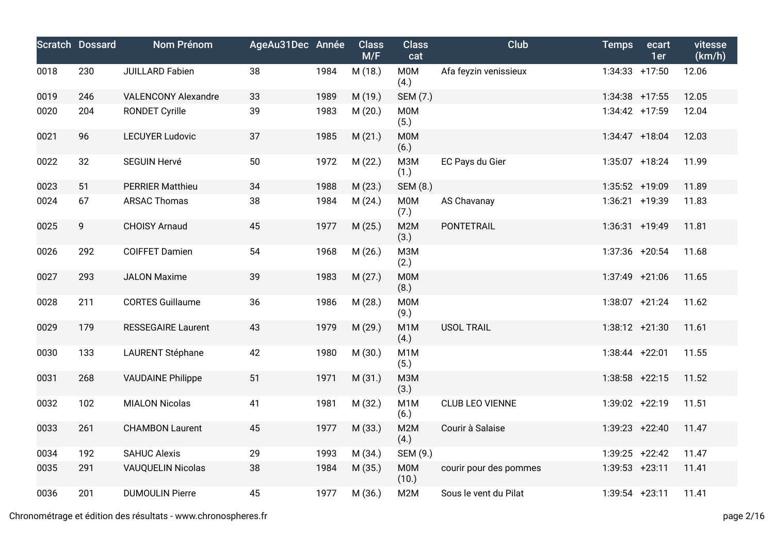|      | <b>Scratch Dossard</b> | <b>Nom Prénom</b>          | AgeAu31Dec Année |      | <b>Class</b><br>M/F | <b>Class</b><br>cat      | <b>Club</b>            | <b>Temps</b>      | ecart<br>1er | vitesse<br>(km/h) |
|------|------------------------|----------------------------|------------------|------|---------------------|--------------------------|------------------------|-------------------|--------------|-------------------|
| 0018 | 230                    | JUILLARD Fabien            | 38               | 1984 | M (18.)             | <b>M0M</b><br>(4.)       | Afa feyzin venissieux  | $1:34:33 + 17:50$ |              | 12.06             |
| 0019 | 246                    | <b>VALENCONY Alexandre</b> | 33               | 1989 | M (19.)             | SEM (7.)                 |                        | $1:34:38$ +17:55  |              | 12.05             |
| 0020 | 204                    | <b>RONDET Cyrille</b>      | 39               | 1983 | M(20.)              | <b>M0M</b><br>(5.)       |                        | $1:34:42$ +17:59  |              | 12.04             |
| 0021 | 96                     | <b>LECUYER Ludovic</b>     | 37               | 1985 | M(21.)              | <b>M0M</b><br>(6.)       |                        | $1:34:47$ +18:04  |              | 12.03             |
| 0022 | 32                     | <b>SEGUIN Hervé</b>        | 50               | 1972 | M (22.)             | <b>МЗМ</b><br>(1.)       | EC Pays du Gier        | $1:35:07$ +18:24  |              | 11.99             |
| 0023 | 51                     | <b>PERRIER Matthieu</b>    | 34               | 1988 | M(23.)              | <b>SEM (8.)</b>          |                        | 1:35:52 +19:09    |              | 11.89             |
| 0024 | 67                     | <b>ARSAC Thomas</b>        | 38               | 1984 | M(24.)              | <b>M0M</b><br>(7.)       | AS Chavanay            | 1:36:21 +19:39    |              | 11.83             |
| 0025 | 9                      | <b>CHOISY Arnaud</b>       | 45               | 1977 | M(25.)              | M2M<br>(3.)              | PONTETRAIL             | $1:36:31 + 19:49$ |              | 11.81             |
| 0026 | 292                    | <b>COIFFET Damien</b>      | 54               | 1968 | M(26.)              | <b>МЗМ</b><br>(2.)       |                        | 1:37:36 +20:54    |              | 11.68             |
| 0027 | 293                    | <b>JALON Maxime</b>        | 39               | 1983 | M(27.)              | <b>M0M</b><br>(8.)       |                        | $1:37:49$ +21:06  |              | 11.65             |
| 0028 | 211                    | <b>CORTES Guillaume</b>    | 36               | 1986 | M (28.)             | <b>M0M</b><br>(9.)       |                        | $1:38:07$ +21:24  |              | 11.62             |
| 0029 | 179                    | <b>RESSEGAIRE Laurent</b>  | 43               | 1979 | M (29.)             | M <sub>1</sub> M<br>(4.) | <b>USOL TRAIL</b>      | $1:38:12 +21:30$  |              | 11.61             |
| 0030 | 133                    | <b>LAURENT Stéphane</b>    | 42               | 1980 | M (30.)             | M <sub>1</sub> M<br>(5.) |                        | $1:38:44$ +22:01  |              | 11.55             |
| 0031 | 268                    | <b>VAUDAINE Philippe</b>   | 51               | 1971 | M(31.)              | <b>МЗМ</b><br>(3.)       |                        | $1:38:58$ +22:15  |              | 11.52             |
| 0032 | 102                    | <b>MIALON Nicolas</b>      | 41               | 1981 | M (32.)             | M <sub>1</sub> M<br>(6.) | <b>CLUB LEO VIENNE</b> | 1:39:02 +22:19    |              | 11.51             |
| 0033 | 261                    | <b>CHAMBON Laurent</b>     | 45               | 1977 | M (33.)             | M2M<br>(4.)              | Courir à Salaise       | $1:39:23 +22:40$  |              | 11.47             |
| 0034 | 192                    | <b>SAHUC Alexis</b>        | 29               | 1993 | M (34.)             | SEM (9.)                 |                        | $1:39:25$ +22:42  |              | 11.47             |
| 0035 | 291                    | <b>VAUQUELIN Nicolas</b>   | 38               | 1984 | M (35.)             | <b>M0M</b><br>(10.)      | courir pour des pommes | $1:39:53$ +23:11  |              | 11.41             |
| 0036 | 201                    | <b>DUMOULIN Pierre</b>     | 45               | 1977 | M (36.)             | M <sub>2</sub> M         | Sous le vent du Pilat  | $1:39:54$ +23:11  |              | 11.41             |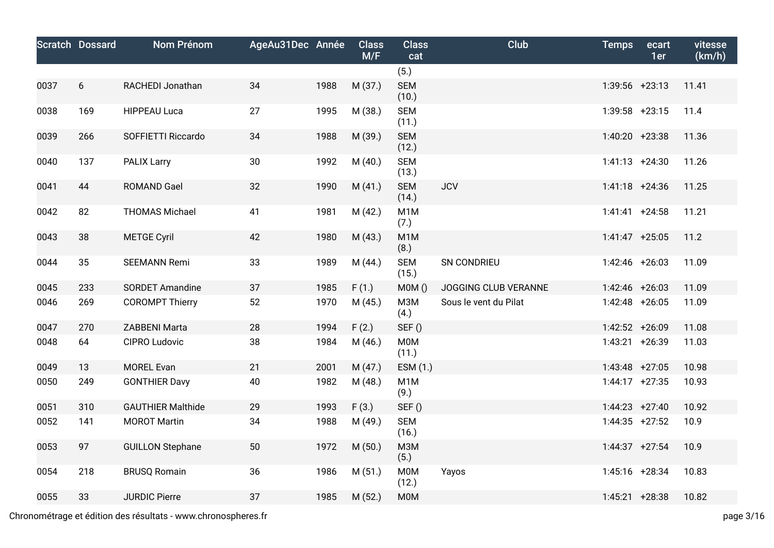|      | <b>Scratch Dossard</b> | <b>Nom Prénom</b>        | AgeAu31Dec Année |      | <b>Class</b><br>M/F | <b>Class</b><br>cat      | <b>Club</b>           | <b>Temps</b>      | ecart<br>1er | vitesse<br>(km/h) |
|------|------------------------|--------------------------|------------------|------|---------------------|--------------------------|-----------------------|-------------------|--------------|-------------------|
|      |                        |                          |                  |      |                     | (5.)                     |                       |                   |              |                   |
| 0037 | 6                      | RACHEDI Jonathan         | 34               | 1988 | M (37.)             | <b>SEM</b><br>(10.)      |                       | $1:39:56$ +23:13  |              | 11.41             |
| 0038 | 169                    | <b>HIPPEAU Luca</b>      | 27               | 1995 | M (38.)             | <b>SEM</b><br>(11.)      |                       | $1:39:58$ +23:15  |              | 11.4              |
| 0039 | 266                    | SOFFIETTI Riccardo       | 34               | 1988 | M (39.)             | <b>SEM</b><br>(12.)      |                       | $1:40:20$ +23:38  |              | 11.36             |
| 0040 | 137                    | <b>PALIX Larry</b>       | 30               | 1992 | M(40.)              | <b>SEM</b><br>(13.)      |                       | $1:41:13 + 24:30$ |              | 11.26             |
| 0041 | 44                     | <b>ROMAND Gael</b>       | 32               | 1990 | M(41.)              | <b>SEM</b><br>(14.)      | <b>JCV</b>            | $1:41:18$ +24:36  |              | 11.25             |
| 0042 | 82                     | <b>THOMAS Michael</b>    | 41               | 1981 | M(42.)              | M <sub>1</sub> M<br>(7.) |                       | $1:41:41 + 24:58$ |              | 11.21             |
| 0043 | 38                     | <b>METGE Cyril</b>       | 42               | 1980 | M(43.)              | M <sub>1</sub> M<br>(8.) |                       | $1:41:47$ +25:05  |              | 11.2              |
| 0044 | 35                     | <b>SEEMANN Remi</b>      | 33               | 1989 | M (44.)             | <b>SEM</b><br>(15.)      | SN CONDRIEU           | $1:42:46$ +26:03  |              | 11.09             |
| 0045 | 233                    | <b>SORDET Amandine</b>   | 37               | 1985 | F(1.)               | MOM()                    | JOGGING CLUB VERANNE  | $1:42:46$ +26:03  |              | 11.09             |
| 0046 | 269                    | <b>COROMPT Thierry</b>   | 52               | 1970 | M (45.)             | M3M<br>(4.)              | Sous le vent du Pilat | 1:42:48 +26:05    |              | 11.09             |
| 0047 | 270                    | ZABBENI Marta            | 28               | 1994 | F(2.)               | SEF()                    |                       | $1:42:52 + 26:09$ |              | 11.08             |
| 0048 | 64                     | CIPRO Ludovic            | 38               | 1984 | M(46.)              | <b>M0M</b><br>(11.)      |                       | $1:43:21 + 26:39$ |              | 11.03             |
| 0049 | 13                     | <b>MOREL Evan</b>        | 21               | 2001 | M(47.)              | ESM (1.)                 |                       | $1:43:48$ +27:05  |              | 10.98             |
| 0050 | 249                    | <b>GONTHIER Davy</b>     | 40               | 1982 | M(48.)              | M <sub>1</sub> M<br>(9.) |                       | $1:44:17$ +27:35  |              | 10.93             |
| 0051 | 310                    | <b>GAUTHIER Malthide</b> | 29               | 1993 | F(3.)               | SEF()                    |                       | $1:44:23 +27:40$  |              | 10.92             |
| 0052 | 141                    | <b>MOROT Martin</b>      | 34               | 1988 | M (49.)             | <b>SEM</b><br>(16.)      |                       | $1:44:35$ +27:52  |              | 10.9              |
| 0053 | 97                     | <b>GUILLON Stephane</b>  | 50               | 1972 | M(50.)              | <b>МЗМ</b><br>(5.)       |                       | $1:44:37$ +27:54  |              | 10.9              |
| 0054 | 218                    | <b>BRUSQ Romain</b>      | 36               | 1986 | M(51.)              | M0M<br>(12.)             | Yayos                 | $1:45:16$ +28:34  |              | 10.83             |
| 0055 | 33                     | <b>JURDIC Pierre</b>     | 37               | 1985 | M(52.)              | <b>M0M</b>               |                       | $1:45:21$ +28:38  |              | 10.82             |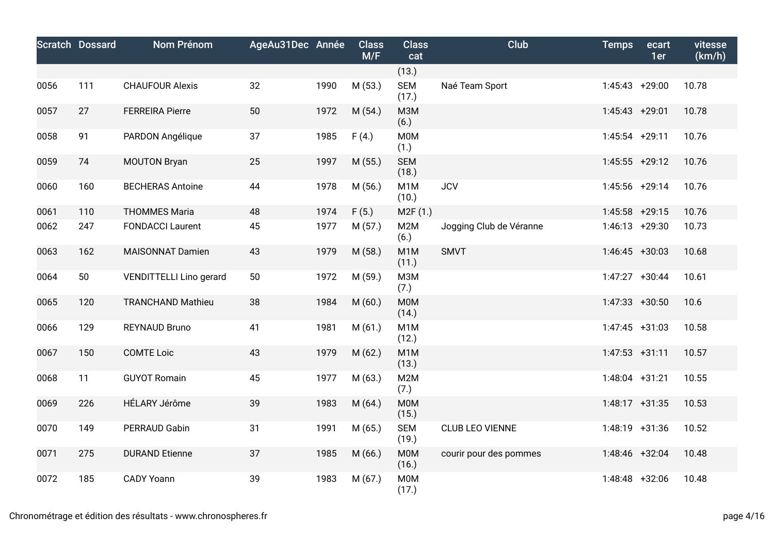|      | <b>Scratch Dossard</b> | <b>Nom Prénom</b>              | AgeAu31Dec Année |      | <b>Class</b><br>M/F | <b>Class</b><br>cat       | Club                    | <b>Temps</b>      | ecart<br>1er | vitesse<br>(km/h) |
|------|------------------------|--------------------------------|------------------|------|---------------------|---------------------------|-------------------------|-------------------|--------------|-------------------|
|      |                        |                                |                  |      |                     | (13.)                     |                         |                   |              |                   |
| 0056 | 111                    | <b>CHAUFOUR Alexis</b>         | 32               | 1990 | M (53.)             | <b>SEM</b><br>(17.)       | Naé Team Sport          | 1:45:43 +29:00    |              | 10.78             |
| 0057 | 27                     | <b>FERREIRA Pierre</b>         | 50               | 1972 | M (54.)             | M3M<br>(6.)               |                         | $1:45:43$ +29:01  |              | 10.78             |
| 0058 | 91                     | PARDON Angélique               | 37               | 1985 | F(4.)               | M0M<br>(1.)               |                         | $1:45:54$ +29:11  |              | 10.76             |
| 0059 | 74                     | <b>MOUTON Bryan</b>            | 25               | 1997 | M (55.)             | <b>SEM</b><br>(18.)       |                         | $1:45:55$ +29:12  |              | 10.76             |
| 0060 | 160                    | <b>BECHERAS Antoine</b>        | 44               | 1978 | M(56.)              | M1M<br>(10.)              | <b>JCV</b>              | 1:45:56 +29:14    |              | 10.76             |
| 0061 | 110                    | <b>THOMMES Maria</b>           | 48               | 1974 | F(5.)               | M2F (1.)                  |                         | $1:45:58$ +29:15  |              | 10.76             |
| 0062 | 247                    | <b>FONDACCI Laurent</b>        | 45               | 1977 | M(57.)              | M2M<br>(6.)               | Jogging Club de Véranne | $1:46:13 + 29:30$ |              | 10.73             |
| 0063 | 162                    | <b>MAISONNAT Damien</b>        | 43               | 1979 | M (58.)             | M <sub>1</sub> M<br>(11.) | <b>SMVT</b>             | $1:46:45$ +30:03  |              | 10.68             |
| 0064 | 50                     | <b>VENDITTELLI Lino gerard</b> | 50               | 1972 | M (59.)             | M3M<br>(7.)               |                         | $1:47:27$ +30:44  |              | 10.61             |
| 0065 | 120                    | <b>TRANCHAND Mathieu</b>       | 38               | 1984 | M(60.)              | <b>M0M</b><br>(14.)       |                         | $1:47:33 + 30:50$ |              | 10.6              |
| 0066 | 129                    | <b>REYNAUD Bruno</b>           | 41               | 1981 | M(61.)              | M <sub>1</sub> M<br>(12.) |                         | $1:47:45$ +31:03  |              | 10.58             |
| 0067 | 150                    | <b>COMTE Loic</b>              | 43               | 1979 | M (62.)             | M <sub>1</sub> M<br>(13.) |                         | $1:47:53$ +31:11  |              | 10.57             |
| 0068 | 11                     | <b>GUYOT Romain</b>            | 45               | 1977 | M (63.)             | M2M<br>(7.)               |                         | $1:48:04$ +31:21  |              | 10.55             |
| 0069 | 226                    | HÉLARY Jérôme                  | 39               | 1983 | M(64.)              | <b>M0M</b><br>(15.)       |                         | $1:48:17$ +31:35  |              | 10.53             |
| 0070 | 149                    | PERRAUD Gabin                  | 31               | 1991 | M (65.)             | <b>SEM</b><br>(19.)       | <b>CLUB LEO VIENNE</b>  | $1:48:19$ +31:36  |              | 10.52             |
| 0071 | 275                    | <b>DURAND Etienne</b>          | 37               | 1985 | M(66.)              | <b>MOM</b><br>(16.)       | courir pour des pommes  | 1:48:46 +32:04    |              | 10.48             |
| 0072 | 185                    | <b>CADY Yoann</b>              | 39               | 1983 | M (67.)             | <b>M0M</b><br>(17.)       |                         | 1:48:48 +32:06    |              | 10.48             |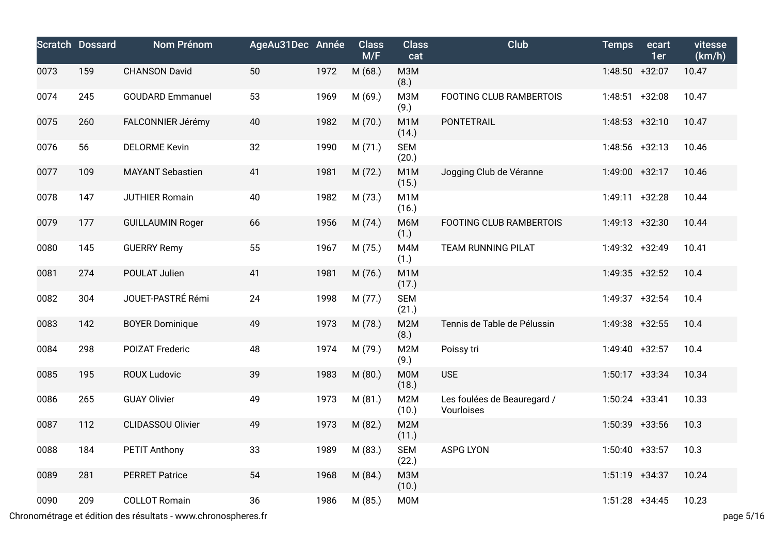|      | <b>Scratch Dossard</b> | Nom Prénom               | AgeAu31Dec Année |      | <b>Class</b><br>M/F | <b>Class</b><br>cat       | <b>Club</b>                               | <b>Temps</b>      | ecart<br>1er | vitesse<br>(km/h) |
|------|------------------------|--------------------------|------------------|------|---------------------|---------------------------|-------------------------------------------|-------------------|--------------|-------------------|
| 0073 | 159                    | <b>CHANSON David</b>     | 50               | 1972 | M (68.)             | <b>МЗМ</b><br>(8.)        |                                           | 1:48:50 +32:07    |              | 10.47             |
| 0074 | 245                    | <b>GOUDARD Emmanuel</b>  | 53               | 1969 | M (69.)             | M3M<br>(9.)               | <b>FOOTING CLUB RAMBERTOIS</b>            | $1:48:51$ +32:08  |              | 10.47             |
| 0075 | 260                    | FALCONNIER Jérémy        | 40               | 1982 | M (70.)             | M <sub>1</sub> M<br>(14.) | PONTETRAIL                                | $1:48:53 +32:10$  |              | 10.47             |
| 0076 | 56                     | <b>DELORME Kevin</b>     | 32               | 1990 | M(71.)              | <b>SEM</b><br>(20.)       |                                           | $1:48:56$ +32:13  |              | 10.46             |
| 0077 | 109                    | <b>MAYANT Sebastien</b>  | 41               | 1981 | M (72.)             | M <sub>1</sub> M<br>(15.) | Jogging Club de Véranne                   | 1:49:00 +32:17    |              | 10.46             |
| 0078 | 147                    | <b>JUTHIER Romain</b>    | 40               | 1982 | M (73.)             | M <sub>1</sub> M<br>(16.) |                                           | $1:49:11 + 32:28$ |              | 10.44             |
| 0079 | 177                    | <b>GUILLAUMIN Roger</b>  | 66               | 1956 | M (74.)             | M6M<br>(1.)               | <b>FOOTING CLUB RAMBERTOIS</b>            | $1:49:13 +32:30$  |              | 10.44             |
| 0080 | 145                    | <b>GUERRY Remy</b>       | 55               | 1967 | M (75.)             | M4M<br>(1.)               | <b>TEAM RUNNING PILAT</b>                 | 1:49:32 +32:49    |              | 10.41             |
| 0081 | 274                    | POULAT Julien            | 41               | 1981 | M (76.)             | M <sub>1</sub> M<br>(17.) |                                           | 1:49:35 +32:52    |              | 10.4              |
| 0082 | 304                    | JOUET-PASTRÉ Rémi        | 24               | 1998 | M (77.)             | <b>SEM</b><br>(21.)       |                                           | $1:49:37$ +32:54  |              | 10.4              |
| 0083 | 142                    | <b>BOYER Dominique</b>   | 49               | 1973 | M (78.)             | M <sub>2</sub> M<br>(8.)  | Tennis de Table de Pélussin               | 1:49:38 +32:55    |              | 10.4              |
| 0084 | 298                    | POIZAT Frederic          | 48               | 1974 | M (79.)             | M2M<br>(9.)               | Poissy tri                                | 1:49:40 +32:57    |              | 10.4              |
| 0085 | 195                    | <b>ROUX Ludovic</b>      | 39               | 1983 | M(80.)              | <b>MOM</b><br>(18.)       | <b>USE</b>                                | $1:50:17$ +33:34  |              | 10.34             |
| 0086 | 265                    | <b>GUAY Olivier</b>      | 49               | 1973 | M(81.)              | M <sub>2</sub> M<br>(10.) | Les foulées de Beauregard /<br>Vourloises | $1:50:24$ +33:41  |              | 10.33             |
| 0087 | 112                    | <b>CLIDASSOU Olivier</b> | 49               | 1973 | M (82.)             | M2M<br>(11.)              |                                           | 1:50:39 +33:56    |              | 10.3              |
| 0088 | 184                    | PETIT Anthony            | 33               | 1989 | M (83.)             | <b>SEM</b><br>(22.)       | <b>ASPG LYON</b>                          | $1:50:40 +33:57$  |              | 10.3              |
| 0089 | 281                    | <b>PERRET Patrice</b>    | 54               | 1968 | M (84.)             | <b>M3M</b><br>(10.)       |                                           | $1:51:19$ +34:37  |              | 10.24             |
| 0090 | 209                    | <b>COLLOT Romain</b>     | 36               | 1986 | M (85.)             | <b>M0M</b>                |                                           | $1:51:28$ +34:45  |              | 10.23             |

Chronométrage et édition des résultats - www.chronospheres.fr page 5/16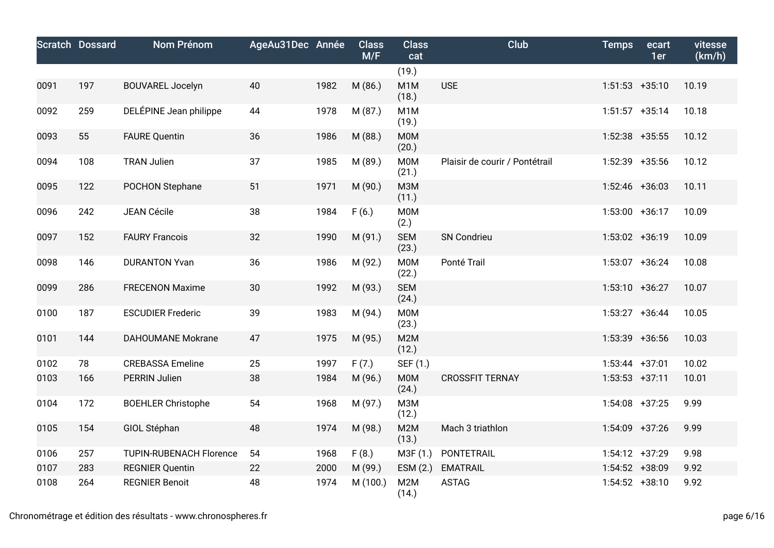|      | <b>Scratch Dossard</b> | <b>Nom Prénom</b>              | AgeAu31Dec Année |      | <b>Class</b><br>M/F | <b>Class</b><br>cat       | <b>Club</b>                    | <b>Temps</b>      | ecart<br>1er | vitesse<br>(km/h) |
|------|------------------------|--------------------------------|------------------|------|---------------------|---------------------------|--------------------------------|-------------------|--------------|-------------------|
|      |                        |                                |                  |      |                     | (19.)                     |                                |                   |              |                   |
| 0091 | 197                    | <b>BOUVAREL Jocelyn</b>        | 40               | 1982 | M (86.)             | M <sub>1</sub> M<br>(18.) | <b>USE</b>                     | $1:51:53$ +35:10  |              | 10.19             |
| 0092 | 259                    | DELÉPINE Jean philippe         | 44               | 1978 | M (87.)             | M <sub>1</sub> M<br>(19.) |                                | $1:51:57$ +35:14  |              | 10.18             |
| 0093 | 55                     | <b>FAURE Quentin</b>           | 36               | 1986 | M (88.)             | <b>M0M</b><br>(20.)       |                                | $1:52:38$ +35:55  |              | 10.12             |
| 0094 | 108                    | <b>TRAN Julien</b>             | 37               | 1985 | M (89.)             | M0M<br>(21.)              | Plaisir de courir / Pontétrail | 1:52:39 +35:56    |              | 10.12             |
| 0095 | 122                    | POCHON Stephane                | 51               | 1971 | M (90.)             | <b>МЗМ</b><br>(11.)       |                                | $1:52:46$ +36:03  |              | 10.11             |
| 0096 | 242                    | <b>JEAN Cécile</b>             | 38               | 1984 | F(6.)               | <b>M0M</b><br>(2.)        |                                | $1:53:00 +36:17$  |              | 10.09             |
| 0097 | 152                    | <b>FAURY Francois</b>          | 32               | 1990 | M (91.)             | <b>SEM</b><br>(23.)       | SN Condrieu                    | 1:53:02 +36:19    |              | 10.09             |
| 0098 | 146                    | <b>DURANTON Yvan</b>           | 36               | 1986 | M (92.)             | <b>M0M</b><br>(22.)       | Ponté Trail                    | 1:53:07 +36:24    |              | 10.08             |
| 0099 | 286                    | <b>FRECENON Maxime</b>         | 30               | 1992 | M (93.)             | <b>SEM</b><br>(24.)       |                                | $1:53:10 + 36:27$ |              | 10.07             |
| 0100 | 187                    | <b>ESCUDIER Frederic</b>       | 39               | 1983 | M (94.)             | M0M<br>(23.)              |                                | $1:53:27$ +36:44  |              | 10.05             |
| 0101 | 144                    | <b>DAHOUMANE Mokrane</b>       | 47               | 1975 | M (95.)             | M2M<br>(12.)              |                                | 1:53:39 +36:56    |              | 10.03             |
| 0102 | 78                     | <b>CREBASSA Emeline</b>        | 25               | 1997 | F(7.)               | SEF (1.)                  |                                | $1:53:44$ +37:01  |              | 10.02             |
| 0103 | 166                    | <b>PERRIN Julien</b>           | 38               | 1984 | M (96.)             | M0M<br>(24.)              | <b>CROSSFIT TERNAY</b>         | $1:53:53$ +37:11  |              | 10.01             |
| 0104 | 172                    | <b>BOEHLER Christophe</b>      | 54               | 1968 | M (97.)             | M3M<br>(12.)              |                                | $1:54:08$ +37:25  |              | 9.99              |
| 0105 | 154                    | GIOL Stéphan                   | 48               | 1974 | M (98.)             | M2M<br>(13.)              | Mach 3 triathlon               | 1:54:09 +37:26    |              | 9.99              |
| 0106 | 257                    | <b>TUPIN-RUBENACH Florence</b> | 54               | 1968 | F(8.)               | M3F (1.)                  | PONTETRAIL                     | $1:54:12 +37:29$  |              | 9.98              |
| 0107 | 283                    | <b>REGNIER Quentin</b>         | 22               | 2000 | M (99.)             | ESM (2.)                  | <b>EMATRAIL</b>                | 1:54:52 +38:09    |              | 9.92              |
| 0108 | 264                    | <b>REGNIER Benoit</b>          | 48               | 1974 | M (100.)            | M2M<br>(14.)              | <b>ASTAG</b>                   | $1:54:52 +38:10$  |              | 9.92              |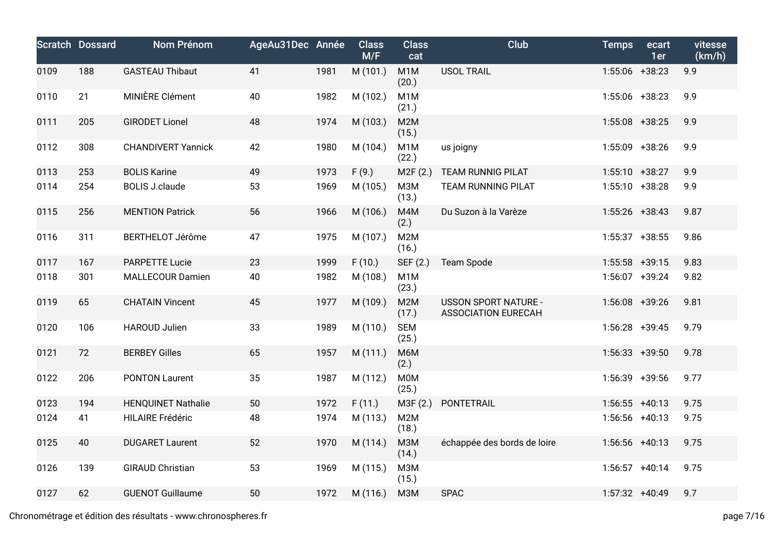|      | <b>Scratch Dossard</b> | Nom Prénom                | AgeAu31Dec Année |      | <b>Class</b><br>M/F | <b>Class</b><br>cat       | Club                                                      | <b>Temps</b>      | ecart<br>1er | vitesse<br>(km/h) |
|------|------------------------|---------------------------|------------------|------|---------------------|---------------------------|-----------------------------------------------------------|-------------------|--------------|-------------------|
| 0109 | 188                    | <b>GASTEAU Thibaut</b>    | 41               | 1981 | M (101.)            | M <sub>1</sub> M<br>(20.) | <b>USOL TRAIL</b>                                         | 1:55:06 +38:23    |              | 9.9               |
| 0110 | 21                     | MINIÈRE Clément           | 40               | 1982 | M (102.)            | M <sub>1</sub> M<br>(21.) |                                                           | 1:55:06 +38:23    |              | 9.9               |
| 0111 | 205                    | <b>GIRODET Lionel</b>     | 48               | 1974 | M (103.)            | M2M<br>(15.)              |                                                           | $1:55:08$ +38:25  |              | 9.9               |
| 0112 | 308                    | <b>CHANDIVERT Yannick</b> | 42               | 1980 | M (104.)            | M <sub>1</sub> M<br>(22.) | us joigny                                                 | 1:55:09 +38:26    |              | 9.9               |
| 0113 | 253                    | <b>BOLIS Karine</b>       | 49               | 1973 | F(9.)               | M2F (2.)                  | <b>TEAM RUNNIG PILAT</b>                                  | $1:55:10 + 38:27$ |              | 9.9               |
| 0114 | 254                    | <b>BOLIS J.claude</b>     | 53               | 1969 | M (105.)            | <b>МЗМ</b><br>(13.)       | <b>TEAM RUNNING PILAT</b>                                 | $1:55:10 + 38:28$ |              | 9.9               |
| 0115 | 256                    | <b>MENTION Patrick</b>    | 56               | 1966 | M (106.)            | M4M<br>(2.)               | Du Suzon à la Varèze                                      | $1:55:26$ +38:43  |              | 9.87              |
| 0116 | 311                    | <b>BERTHELOT Jérôme</b>   | 47               | 1975 | M (107.)            | M2M<br>(16.)              |                                                           | $1:55:37$ +38:55  |              | 9.86              |
| 0117 | 167                    | <b>PARPETTE Lucie</b>     | 23               | 1999 | F(10.)              | SEF (2.)                  | <b>Team Spode</b>                                         | $1:55:58$ +39:15  |              | 9.83              |
| 0118 | 301                    | <b>MALLECOUR Damien</b>   | 40               | 1982 | M (108.)            | M <sub>1</sub> M<br>(23.) |                                                           | 1:56:07 +39:24    |              | 9.82              |
| 0119 | 65                     | <b>CHATAIN Vincent</b>    | 45               | 1977 | M (109.)            | M2M<br>(17.)              | <b>USSON SPORT NATURE -</b><br><b>ASSOCIATION EURECAH</b> | $1:56:08$ +39:26  |              | 9.81              |
| 0120 | 106                    | <b>HAROUD Julien</b>      | 33               | 1989 | M (110.)            | <b>SEM</b><br>(25.)       |                                                           | $1:56:28$ +39:45  |              | 9.79              |
| 0121 | 72                     | <b>BERBEY Gilles</b>      | 65               | 1957 | M (111.)            | M6M<br>(2.)               |                                                           | $1:56:33 +39:50$  |              | 9.78              |
| 0122 | 206                    | <b>PONTON Laurent</b>     | 35               | 1987 | M (112.)            | M0M<br>(25.)              |                                                           | 1:56:39 +39:56    |              | 9.77              |
| 0123 | 194                    | <b>HENQUINET Nathalie</b> | 50               | 1972 | F(11.)              | M3F (2.)                  | PONTETRAIL                                                | $1:56:55$ +40:13  |              | 9.75              |
| 0124 | 41                     | <b>HILAIRE Frédéric</b>   | 48               | 1974 | M (113.)            | M2M<br>(18.)              |                                                           | $1:56:56$ +40:13  |              | 9.75              |
| 0125 | 40                     | <b>DUGARET Laurent</b>    | 52               | 1970 | M (114.)            | МЗМ<br>(14.)              | échappée des bords de loire                               | $1:56:56$ +40:13  |              | 9.75              |
| 0126 | 139                    | <b>GIRAUD Christian</b>   | 53               | 1969 | M (115.)            | M3M<br>(15.)              |                                                           | $1:56:57$ +40:14  |              | 9.75              |
| 0127 | 62                     | <b>GUENOT Guillaume</b>   | 50               | 1972 | M (116.)            | M3M                       | <b>SPAC</b>                                               | 1:57:32 +40:49    |              | 9.7               |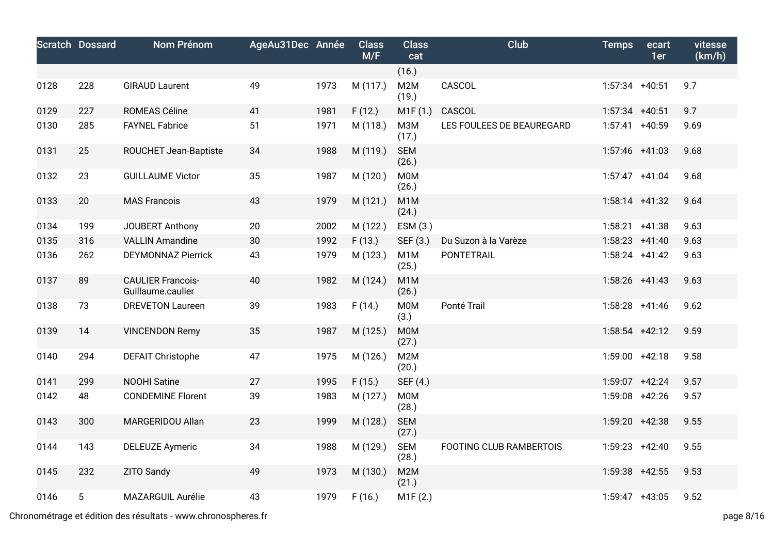|      | <b>Scratch Dossard</b> | Nom Prénom                                    | AgeAu31Dec Année |      | <b>Class</b><br>M/F | <b>Class</b><br>cat       | Club                           | <b>Temps</b>     | ecart<br>1er | vitesse<br>(km/h) |
|------|------------------------|-----------------------------------------------|------------------|------|---------------------|---------------------------|--------------------------------|------------------|--------------|-------------------|
|      |                        |                                               |                  |      |                     | (16.)                     |                                |                  |              |                   |
| 0128 | 228                    | <b>GIRAUD Laurent</b>                         | 49               | 1973 | M (117.)            | M2M<br>(19.)              | CASCOL                         | $1:57:34$ +40:51 |              | 9.7               |
| 0129 | 227                    | ROMEAS Céline                                 | 41               | 1981 | F(12.)              | M1F(1.)                   | CASCOL                         | $1:57:34$ +40:51 |              | 9.7               |
| 0130 | 285                    | <b>FAYNEL Fabrice</b>                         | 51               | 1971 | M (118.)            | <b>МЗМ</b><br>(17.)       | LES FOULEES DE BEAUREGARD      | $1:57:41$ +40:59 |              | 9.69              |
| 0131 | 25                     | ROUCHET Jean-Baptiste                         | 34               | 1988 | M (119.)            | <b>SEM</b><br>(26.)       |                                | $1:57:46$ +41:03 |              | 9.68              |
| 0132 | 23                     | <b>GUILLAUME Victor</b>                       | 35               | 1987 | M (120.)            | M0M<br>(26.)              |                                | $1:57:47$ +41:04 |              | 9.68              |
| 0133 | 20                     | <b>MAS Francois</b>                           | 43               | 1979 | M(121.)             | M1M<br>(24.)              |                                | $1:58:14$ +41:32 |              | 9.64              |
| 0134 | 199                    | JOUBERT Anthony                               | 20               | 2002 | M (122.)            | ESM (3.)                  |                                | $1:58:21 +41:38$ |              | 9.63              |
| 0135 | 316                    | <b>VALLIN Amandine</b>                        | 30               | 1992 | F(13.)              | SEF (3.)                  | Du Suzon à la Varèze           | $1:58:23 +41:40$ |              | 9.63              |
| 0136 | 262                    | <b>DEYMONNAZ Pierrick</b>                     | 43               | 1979 | M (123.)            | M <sub>1</sub> M<br>(25.) | <b>PONTETRAIL</b>              | $1:58:24$ +41:42 |              | 9.63              |
| 0137 | 89                     | <b>CAULIER Francois-</b><br>Guillaume.caulier | 40               | 1982 | M (124.)            | M <sub>1</sub> M<br>(26.) |                                | $1:58:26$ +41:43 |              | 9.63              |
| 0138 | 73                     | <b>DREVETON Laureen</b>                       | 39               | 1983 | F(14.)              | M0M<br>(3.)               | Ponté Trail                    | $1:58:28$ +41:46 |              | 9.62              |
| 0139 | 14                     | <b>VINCENDON Remy</b>                         | 35               | 1987 | M (125.)            | <b>M0M</b><br>(27.)       |                                | $1:58:54$ +42:12 |              | 9.59              |
| 0140 | 294                    | <b>DEFAIT Christophe</b>                      | 47               | 1975 | M (126.)            | M2M<br>(20.)              |                                | $1:59:00$ +42:18 |              | 9.58              |
| 0141 | 299                    | <b>NOOHI Satine</b>                           | 27               | 1995 | F(15.)              | SEF (4.)                  |                                | $1:59:07$ +42:24 |              | 9.57              |
| 0142 | 48                     | <b>CONDEMINE Florent</b>                      | 39               | 1983 | M (127.)            | <b>M0M</b><br>(28.)       |                                | 1:59:08 +42:26   |              | 9.57              |
| 0143 | 300                    | MARGERIDOU Allan                              | 23               | 1999 | M (128.)            | <b>SEM</b><br>(27.)       |                                | 1:59:20 +42:38   |              | 9.55              |
| 0144 | 143                    | <b>DELEUZE Aymeric</b>                        | 34               | 1988 | M (129.)            | <b>SEM</b><br>(28.)       | <b>FOOTING CLUB RAMBERTOIS</b> | $1:59:23 +42:40$ |              | 9.55              |
| 0145 | 232                    | ZITO Sandy                                    | 49               | 1973 | M (130.)            | M2M<br>(21.)              |                                | 1:59:38 +42:55   |              | 9.53              |
| 0146 | 5                      | MAZARGUIL Aurélie                             | 43               | 1979 | F(16.)              | M1F (2.)                  |                                | $1:59:47$ +43:05 |              | 9.52              |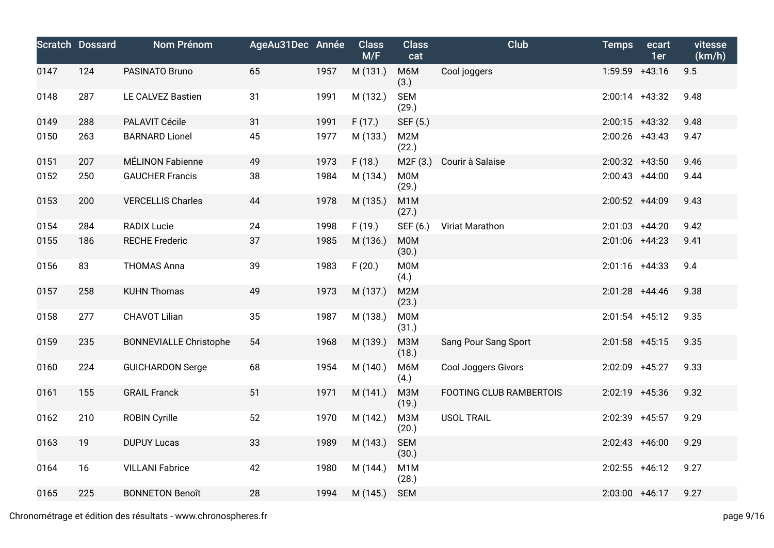|      | <b>Scratch Dossard</b> | Nom Prénom                    | AgeAu31Dec Année |      | <b>Class</b><br>M/F | <b>Class</b><br>cat       | Club                           | <b>Temps</b>     | ecart<br>1er | vitesse<br>(km/h) |
|------|------------------------|-------------------------------|------------------|------|---------------------|---------------------------|--------------------------------|------------------|--------------|-------------------|
| 0147 | 124                    | PASINATO Bruno                | 65               | 1957 | M (131.)            | M6M<br>(3.)               | Cool joggers                   | 1:59:59 +43:16   |              | 9.5               |
| 0148 | 287                    | LE CALVEZ Bastien             | 31               | 1991 | M (132.)            | <b>SEM</b><br>(29.)       |                                | 2:00:14 +43:32   |              | 9.48              |
| 0149 | 288                    | PALAVIT Cécile                | 31               | 1991 | F(17.)              | SEF (5.)                  |                                | $2:00:15$ +43:32 |              | 9.48              |
| 0150 | 263                    | <b>BARNARD Lionel</b>         | 45               | 1977 | M (133.)            | M2M<br>(22.)              |                                | $2:00:26$ +43:43 |              | 9.47              |
| 0151 | 207                    | MÉLINON Fabienne              | 49               | 1973 | F(18.)              | M2F (3.)                  | Courir à Salaise               | $2:00:32 +43:50$ |              | 9.46              |
| 0152 | 250                    | <b>GAUCHER Francis</b>        | 38               | 1984 | M (134.)            | <b>M0M</b><br>(29.)       |                                | $2:00:43 +44:00$ |              | 9.44              |
| 0153 | 200                    | <b>VERCELLIS Charles</b>      | 44               | 1978 | M (135.)            | M <sub>1</sub> M<br>(27.) |                                | 2:00:52 +44:09   |              | 9.43              |
| 0154 | 284                    | <b>RADIX Lucie</b>            | 24               | 1998 | F(19.)              | SEF (6.)                  | Viriat Marathon                | $2:01:03$ +44:20 |              | 9.42              |
| 0155 | 186                    | <b>RECHE Frederic</b>         | 37               | 1985 | M (136.)            | <b>M0M</b><br>(30.)       |                                | 2:01:06 +44:23   |              | 9.41              |
| 0156 | 83                     | <b>THOMAS Anna</b>            | 39               | 1983 | F(20.)              | <b>M0M</b><br>(4.)        |                                | $2:01:16$ +44:33 |              | 9.4               |
| 0157 | 258                    | <b>KUHN Thomas</b>            | 49               | 1973 | M (137.)            | M2M<br>(23.)              |                                | $2:01:28$ +44:46 |              | 9.38              |
| 0158 | 277                    | <b>CHAVOT Lilian</b>          | 35               | 1987 | M (138.)            | M0M<br>(31.)              |                                | $2:01:54$ +45:12 |              | 9.35              |
| 0159 | 235                    | <b>BONNEVIALLE Christophe</b> | 54               | 1968 | M (139.)            | <b>МЗМ</b><br>(18.)       | Sang Pour Sang Sport           | $2:01:58$ +45:15 |              | 9.35              |
| 0160 | 224                    | <b>GUICHARDON Serge</b>       | 68               | 1954 | M (140.)            | M6M<br>(4.)               | <b>Cool Joggers Givors</b>     | 2:02:09 +45:27   |              | 9.33              |
| 0161 | 155                    | <b>GRAIL Franck</b>           | 51               | 1971 | M (141.)            | <b>МЗМ</b><br>(19.)       | <b>FOOTING CLUB RAMBERTOIS</b> | 2:02:19 +45:36   |              | 9.32              |
| 0162 | 210                    | <b>ROBIN Cyrille</b>          | 52               | 1970 | M (142.)            | <b>МЗМ</b><br>(20.)       | <b>USOL TRAIL</b>              | 2:02:39 +45:57   |              | 9.29              |
| 0163 | 19                     | <b>DUPUY Lucas</b>            | 33               | 1989 | M (143.)            | <b>SEM</b><br>(30.)       |                                | $2:02:43$ +46:00 |              | 9.29              |
| 0164 | 16                     | <b>VILLANI Fabrice</b>        | 42               | 1980 | M (144.)            | M <sub>1</sub> M<br>(28.) |                                | $2:02:55$ +46:12 |              | 9.27              |
| 0165 | 225                    | <b>BONNETON Benoît</b>        | 28               | 1994 | M (145.)            | <b>SEM</b>                |                                | $2:03:00$ +46:17 |              | 9.27              |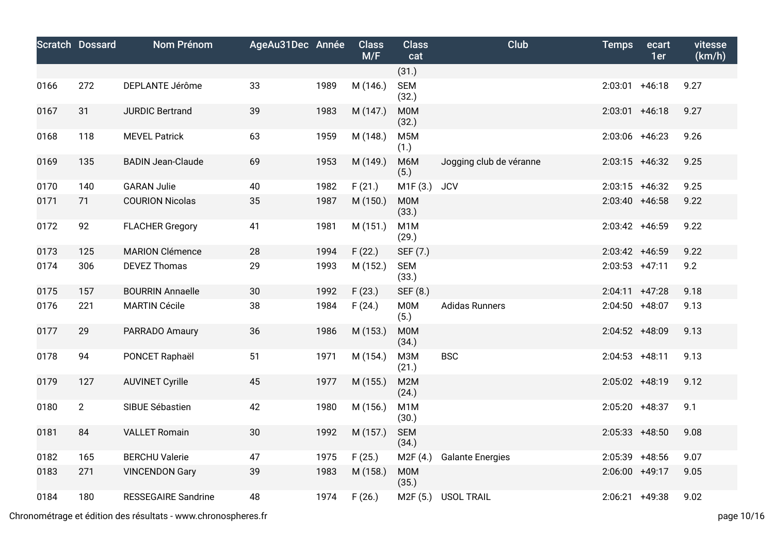|      | <b>Scratch Dossard</b> | Nom Prénom                 | AgeAu31Dec Année |      | <b>Class</b><br>M/F | <b>Class</b><br>cat       | Club                    | <b>Temps</b>      | ecart<br>1er | vitesse<br>(km/h) |
|------|------------------------|----------------------------|------------------|------|---------------------|---------------------------|-------------------------|-------------------|--------------|-------------------|
|      |                        |                            |                  |      |                     | (31.)                     |                         |                   |              |                   |
| 0166 | 272                    | DEPLANTE Jérôme            | 33               | 1989 | M (146.)            | <b>SEM</b><br>(32.)       |                         | $2:03:01$ +46:18  |              | 9.27              |
| 0167 | 31                     | <b>JURDIC Bertrand</b>     | 39               | 1983 | M (147.)            | <b>M0M</b><br>(32.)       |                         | $2:03:01$ +46:18  |              | 9.27              |
| 0168 | 118                    | <b>MEVEL Patrick</b>       | 63               | 1959 | M (148.)            | M <sub>5</sub> M<br>(1.)  |                         | 2:03:06 +46:23    |              | 9.26              |
| 0169 | 135                    | <b>BADIN Jean-Claude</b>   | 69               | 1953 | M (149.)            | M6M<br>(5.)               | Jogging club de véranne | $2:03:15$ +46:32  |              | 9.25              |
| 0170 | 140                    | <b>GARAN Julie</b>         | 40               | 1982 | F(21.)              | M1F(3.)                   | <b>JCV</b>              | $2:03:15$ +46:32  |              | 9.25              |
| 0171 | 71                     | <b>COURION Nicolas</b>     | 35               | 1987 | M (150.)            | M0M<br>(33.)              |                         | $2:03:40 +46:58$  |              | 9.22              |
| 0172 | 92                     | <b>FLACHER Gregory</b>     | 41               | 1981 | M (151.)            | M1M<br>(29.)              |                         | $2:03:42$ +46:59  |              | 9.22              |
| 0173 | 125                    | <b>MARION Clémence</b>     | 28               | 1994 | F(22.)              | SEF (7.)                  |                         | 2:03:42 +46:59    |              | 9.22              |
| 0174 | 306                    | <b>DEVEZ Thomas</b>        | 29               | 1993 | M (152.)            | <b>SEM</b><br>(33.)       |                         | $2:03:53$ +47:11  |              | 9.2               |
| 0175 | 157                    | <b>BOURRIN Annaelle</b>    | 30               | 1992 | F(23.)              | SEF (8.)                  |                         | $2:04:11 + 47:28$ |              | 9.18              |
| 0176 | 221                    | <b>MARTIN Cécile</b>       | 38               | 1984 | F(24.)              | <b>M0M</b><br>(5.)        | <b>Adidas Runners</b>   | $2:04:50 +48:07$  |              | 9.13              |
| 0177 | 29                     | PARRADO Amaury             | 36               | 1986 | M (153.)            | M0M<br>(34.)              |                         | 2:04:52 +48:09    |              | 9.13              |
| 0178 | 94                     | PONCET Raphaël             | 51               | 1971 | M (154.)            | <b>МЗМ</b><br>(21.)       | <b>BSC</b>              | $2:04:53$ +48:11  |              | 9.13              |
| 0179 | 127                    | <b>AUVINET Cyrille</b>     | 45               | 1977 | M (155.)            | M2M<br>(24.)              |                         | 2:05:02 +48:19    |              | 9.12              |
| 0180 | $\overline{2}$         | SIBUE Sébastien            | 42               | 1980 | M (156.)            | M <sub>1</sub> M<br>(30.) |                         | 2:05:20 +48:37    |              | 9.1               |
| 0181 | 84                     | <b>VALLET Romain</b>       | 30               | 1992 | M (157.)            | <b>SEM</b><br>(34.)       |                         | $2:05:33$ +48:50  |              | 9.08              |
| 0182 | 165                    | <b>BERCHU Valerie</b>      | 47               | 1975 | F(25.)              | M2F(4.)                   | <b>Galante Energies</b> | 2:05:39 +48:56    |              | 9.07              |
| 0183 | 271                    | <b>VINCENDON Gary</b>      | 39               | 1983 | M (158.)            | M0M<br>(35.)              |                         | 2:06:00 +49:17    |              | 9.05              |
| 0184 | 180                    | <b>RESSEGAIRE Sandrine</b> | 48               | 1974 | F(26.)              | M <sub>2</sub> F (5.)     | <b>USOL TRAIL</b>       | $2:06:21$ +49:38  |              | 9.02              |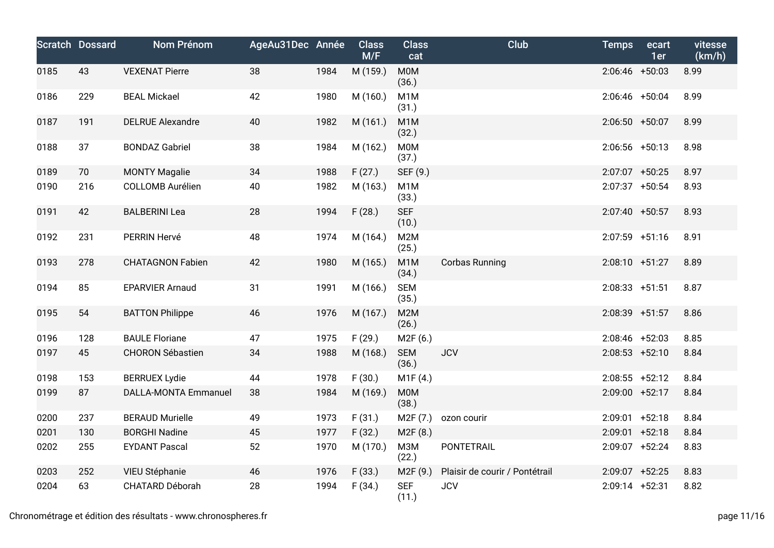|      | <b>Scratch Dossard</b> | Nom Prénom                  | AgeAu31Dec Année |      | <b>Class</b><br>M/F | <b>Class</b><br>cat       | Club                           | <b>Temps</b>      | ecart<br>1er | vitesse<br>(km/h) |
|------|------------------------|-----------------------------|------------------|------|---------------------|---------------------------|--------------------------------|-------------------|--------------|-------------------|
| 0185 | 43                     | <b>VEXENAT Pierre</b>       | 38               | 1984 | M (159.)            | <b>M0M</b><br>(36.)       |                                | $2:06:46$ +50:03  |              | 8.99              |
| 0186 | 229                    | <b>BEAL Mickael</b>         | 42               | 1980 | M (160.)            | M <sub>1</sub> M<br>(31.) |                                | 2:06:46 +50:04    |              | 8.99              |
| 0187 | 191                    | <b>DELRUE Alexandre</b>     | 40               | 1982 | M (161.)            | M <sub>1</sub> M<br>(32.) |                                | $2:06:50 + 50:07$ |              | 8.99              |
| 0188 | 37                     | <b>BONDAZ Gabriel</b>       | 38               | 1984 | M (162.)            | <b>M0M</b><br>(37.)       |                                | $2:06:56$ +50:13  |              | 8.98              |
| 0189 | 70                     | <b>MONTY Magalie</b>        | 34               | 1988 | F(27.)              | SEF (9.)                  |                                | 2:07:07 +50:25    |              | 8.97              |
| 0190 | 216                    | <b>COLLOMB Aurélien</b>     | 40               | 1982 | M (163.)            | M <sub>1</sub> M<br>(33.) |                                | 2:07:37 +50:54    |              | 8.93              |
| 0191 | 42                     | <b>BALBERINI Lea</b>        | 28               | 1994 | F(28.)              | <b>SEF</b><br>(10.)       |                                | 2:07:40 +50:57    |              | 8.93              |
| 0192 | 231                    | PERRIN Hervé                | 48               | 1974 | M (164.)            | M2M<br>(25.)              |                                | $2:07:59$ +51:16  |              | 8.91              |
| 0193 | 278                    | <b>CHATAGNON Fabien</b>     | 42               | 1980 | M (165.)            | M <sub>1</sub> M<br>(34.) | <b>Corbas Running</b>          | $2:08:10 + 51:27$ |              | 8.89              |
| 0194 | 85                     | <b>EPARVIER Arnaud</b>      | 31               | 1991 | M (166.)            | <b>SEM</b><br>(35.)       |                                | $2:08:33$ +51:51  |              | 8.87              |
| 0195 | 54                     | <b>BATTON Philippe</b>      | 46               | 1976 | M (167.)            | M2M<br>(26.)              |                                | 2:08:39 +51:57    |              | 8.86              |
| 0196 | 128                    | <b>BAULE Floriane</b>       | 47               | 1975 | F(29.)              | M2F (6.)                  |                                | $2:08:46$ +52:03  |              | 8.85              |
| 0197 | 45                     | <b>CHORON Sébastien</b>     | 34               | 1988 | M (168.)            | <b>SEM</b><br>(36.)       | <b>JCV</b>                     | $2:08:53$ +52:10  |              | 8.84              |
| 0198 | 153                    | <b>BERRUEX Lydie</b>        | 44               | 1978 | F(30.)              | M1F (4.)                  |                                | $2:08:55$ +52:12  |              | 8.84              |
| 0199 | 87                     | <b>DALLA-MONTA Emmanuel</b> | 38               | 1984 | M (169.)            | <b>M0M</b><br>(38.)       |                                | 2:09:00 +52:17    |              | 8.84              |
| 0200 | 237                    | <b>BERAUD Murielle</b>      | 49               | 1973 | F(31.)              | M2F (7.)                  | ozon courir                    | $2:09:01$ +52:18  |              | 8.84              |
| 0201 | 130                    | <b>BORGHI Nadine</b>        | 45               | 1977 | F(32.)              | M2F (8.)                  |                                | $2:09:01$ +52:18  |              | 8.84              |
| 0202 | 255                    | <b>EYDANT Pascal</b>        | 52               | 1970 | M (170.)            | M3M<br>(22.)              | <b>PONTETRAIL</b>              | 2:09:07 +52:24    |              | 8.83              |
| 0203 | 252                    | VIEU Stéphanie              | 46               | 1976 | F(33.)              | M2F (9.)                  | Plaisir de courir / Pontétrail | 2:09:07 +52:25    |              | 8.83              |
| 0204 | 63                     | CHATARD Déborah             | 28               | 1994 | F(34.)              | <b>SEF</b><br>(11.)       | <b>JCV</b>                     | 2:09:14 +52:31    |              | 8.82              |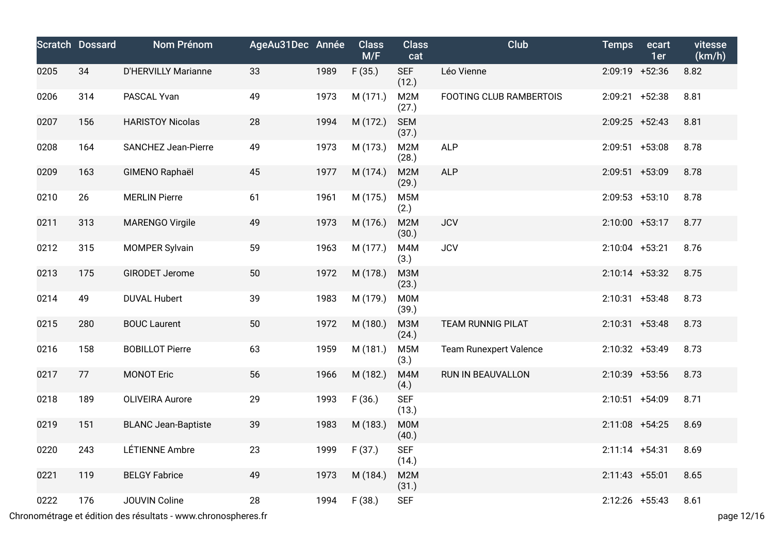|      | <b>Scratch Dossard</b> | Nom Prénom                 | AgeAu31Dec Année |      | <b>Class</b><br>M/F | <b>Class</b><br>cat      | Club                          | <b>Temps</b>      | ecart<br>1er | vitesse<br>(km/h) |
|------|------------------------|----------------------------|------------------|------|---------------------|--------------------------|-------------------------------|-------------------|--------------|-------------------|
| 0205 | 34                     | <b>D'HERVILLY Marianne</b> | 33               | 1989 | F(35.)              | <b>SEF</b><br>(12.)      | Léo Vienne                    | 2:09:19 +52:36    |              | 8.82              |
| 0206 | 314                    | PASCAL Yvan                | 49               | 1973 | M (171.)            | M2M<br>(27.)             | FOOTING CLUB RAMBERTOIS       | $2:09:21 +52:38$  |              | 8.81              |
| 0207 | 156                    | <b>HARISTOY Nicolas</b>    | 28               | 1994 | M (172.)            | <b>SEM</b><br>(37.)      |                               | $2:09:25$ +52:43  |              | 8.81              |
| 0208 | 164                    | <b>SANCHEZ Jean-Pierre</b> | 49               | 1973 | M (173.)            | M2M<br>(28.)             | <b>ALP</b>                    | $2:09:51$ +53:08  |              | 8.78              |
| 0209 | 163                    | GIMENO Raphaël             | 45               | 1977 | M (174.)            | M2M<br>(29.)             | <b>ALP</b>                    | 2:09:51 +53:09    |              | 8.78              |
| 0210 | 26                     | <b>MERLIN Pierre</b>       | 61               | 1961 | M (175.)            | M <sub>5</sub> M<br>(2.) |                               | $2:09:53$ +53:10  |              | 8.78              |
| 0211 | 313                    | <b>MARENGO Virgile</b>     | 49               | 1973 | M (176.)            | M2M<br>(30.)             | <b>JCV</b>                    | 2:10:00 +53:17    |              | 8.77              |
| 0212 | 315                    | <b>MOMPER Sylvain</b>      | 59               | 1963 | M (177.)            | M4M<br>(3.)              | <b>JCV</b>                    | 2:10:04 +53:21    |              | 8.76              |
| 0213 | 175                    | <b>GIRODET Jerome</b>      | 50               | 1972 | M (178.)            | M3M<br>(23.)             |                               | $2:10:14$ +53:32  |              | 8.75              |
| 0214 | 49                     | <b>DUVAL Hubert</b>        | 39               | 1983 | M (179.)            | M0M<br>(39.)             |                               | $2:10:31$ +53:48  |              | 8.73              |
| 0215 | 280                    | <b>BOUC Laurent</b>        | 50               | 1972 | M (180.)            | <b>МЗМ</b><br>(24.)      | <b>TEAM RUNNIG PILAT</b>      | $2:10:31$ +53:48  |              | 8.73              |
| 0216 | 158                    | <b>BOBILLOT Pierre</b>     | 63               | 1959 | M (181.)            | M <sub>5</sub> M<br>(3.) | <b>Team Runexpert Valence</b> | 2:10:32 +53:49    |              | 8.73              |
| 0217 | 77                     | <b>MONOT Eric</b>          | 56               | 1966 | M (182.)            | M4M<br>(4.)              | RUN IN BEAUVALLON             | 2:10:39 +53:56    |              | 8.73              |
| 0218 | 189                    | <b>OLIVEIRA Aurore</b>     | 29               | 1993 | F(36.)              | <b>SEF</b><br>(13.)      |                               | $2:10:51$ +54:09  |              | 8.71              |
| 0219 | 151                    | <b>BLANC Jean-Baptiste</b> | 39               | 1983 | M (183.)            | M0M<br>(40.)             |                               | $2:11:08$ +54:25  |              | 8.69              |
| 0220 | 243                    | LÉTIENNE Ambre             | 23               | 1999 | F(37.)              | <b>SEF</b><br>(14.)      |                               | $2:11:14$ +54:31  |              | 8.69              |
| 0221 | 119                    | <b>BELGY Fabrice</b>       | 49               | 1973 | M (184.)            | M2M<br>(31.)             |                               | $2:11:43 + 55:01$ |              | 8.65              |
| 0222 | 176                    | JOUVIN Coline              | 28               | 1994 | F(38.)              | <b>SEF</b>               |                               | $2:12:26$ +55:43  |              | 8.61              |

Chronométrage et édition des résultats - www.chronospheres.fr page 12/16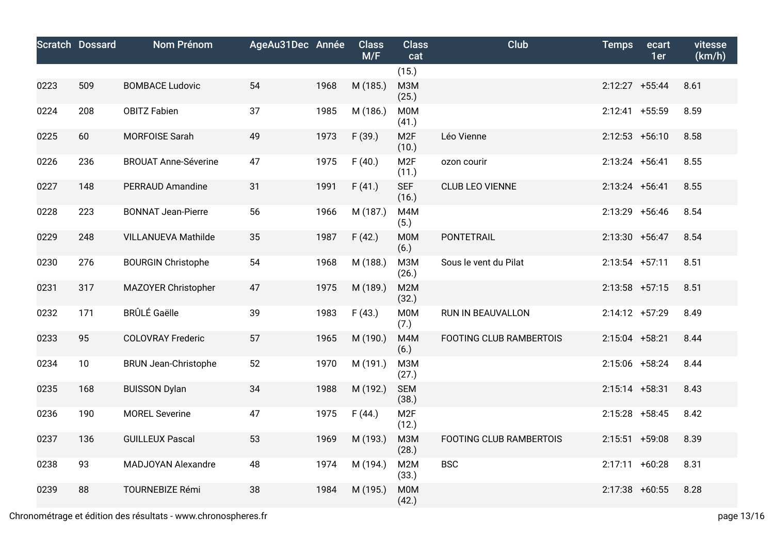|      | <b>Scratch Dossard</b> | <b>Nom Prénom</b>           | AgeAu31Dec Année |      | <b>Class</b><br>M/F | <b>Class</b><br>cat       | <b>Club</b>                    | <b>Temps</b>      | ecart<br>1er | vitesse<br>(km/h) |
|------|------------------------|-----------------------------|------------------|------|---------------------|---------------------------|--------------------------------|-------------------|--------------|-------------------|
|      |                        |                             |                  |      |                     | (15.)                     |                                |                   |              |                   |
| 0223 | 509                    | <b>BOMBACE Ludovic</b>      | 54               | 1968 | M (185.)            | M3M<br>(25.)              |                                | 2:12:27 +55:44    |              | 8.61              |
| 0224 | 208                    | <b>OBITZ Fabien</b>         | 37               | 1985 | M (186.)            | M0M<br>(41.)              |                                | $2:12:41$ +55:59  |              | 8.59              |
| 0225 | 60                     | MORFOISE Sarah              | 49               | 1973 | F(39.)              | M <sub>2F</sub><br>(10.)  | Léo Vienne                     | $2:12:53$ +56:10  |              | 8.58              |
| 0226 | 236                    | <b>BROUAT Anne-Séverine</b> | 47               | 1975 | F(40.)              | M <sub>2F</sub><br>(11.)  | ozon courir                    | $2:13:24$ +56:41  |              | 8.55              |
| 0227 | 148                    | <b>PERRAUD Amandine</b>     | 31               | 1991 | F(41.)              | <b>SEF</b><br>(16.)       | <b>CLUB LEO VIENNE</b>         | $2:13:24$ +56:41  |              | 8.55              |
| 0228 | 223                    | <b>BONNAT Jean-Pierre</b>   | 56               | 1966 | M (187.)            | M4M<br>(5.)               |                                | 2:13:29 +56:46    |              | 8.54              |
| 0229 | 248                    | <b>VILLANUEVA Mathilde</b>  | 35               | 1987 | F(42.)              | M0M<br>(6.)               | PONTETRAIL                     | $2:13:30 + 56:47$ |              | 8.54              |
| 0230 | 276                    | <b>BOURGIN Christophe</b>   | 54               | 1968 | M (188.)            | M3M<br>(26.)              | Sous le vent du Pilat          | $2:13:54$ +57:11  |              | 8.51              |
| 0231 | 317                    | MAZOYER Christopher         | 47               | 1975 | M (189.)            | M <sub>2</sub> M<br>(32.) |                                | $2:13:58$ +57:15  |              | 8.51              |
| 0232 | 171                    | <b>BRÛLÉ Gaëlle</b>         | 39               | 1983 | F(43.)              | M0M<br>(7.)               | RUN IN BEAUVALLON              | 2:14:12 +57:29    |              | 8.49              |
| 0233 | 95                     | <b>COLOVRAY Frederic</b>    | 57               | 1965 | M (190.)            | M4M<br>(6.)               | <b>FOOTING CLUB RAMBERTOIS</b> | 2:15:04 +58:21    |              | 8.44              |
| 0234 | 10                     | <b>BRUN Jean-Christophe</b> | 52               | 1970 | M (191.)            | <b>МЗМ</b><br>(27.)       |                                | 2:15:06 +58:24    |              | 8.44              |
| 0235 | 168                    | <b>BUISSON Dylan</b>        | 34               | 1988 | M (192.)            | <b>SEM</b><br>(38.)       |                                | $2:15:14$ +58:31  |              | 8.43              |
| 0236 | 190                    | <b>MOREL Severine</b>       | 47               | 1975 | F(44.)              | M <sub>2F</sub><br>(12.)  |                                | $2:15:28$ +58:45  |              | 8.42              |
| 0237 | 136                    | <b>GUILLEUX Pascal</b>      | 53               | 1969 | M (193.)            | <b>M3M</b><br>(28.)       | <b>FOOTING CLUB RAMBERTOIS</b> | $2:15:51$ +59:08  |              | 8.39              |
| 0238 | 93                     | MADJOYAN Alexandre          | 48               | 1974 | M (194.)            | M <sub>2</sub> M<br>(33.) | <b>BSC</b>                     | $2:17:11 + 60:28$ |              | 8.31              |
| 0239 | 88                     | <b>TOURNEBIZE Rémi</b>      | 38               | 1984 | M (195.)            | <b>M0M</b><br>(42.)       |                                | $2:17:38$ +60:55  |              | 8.28              |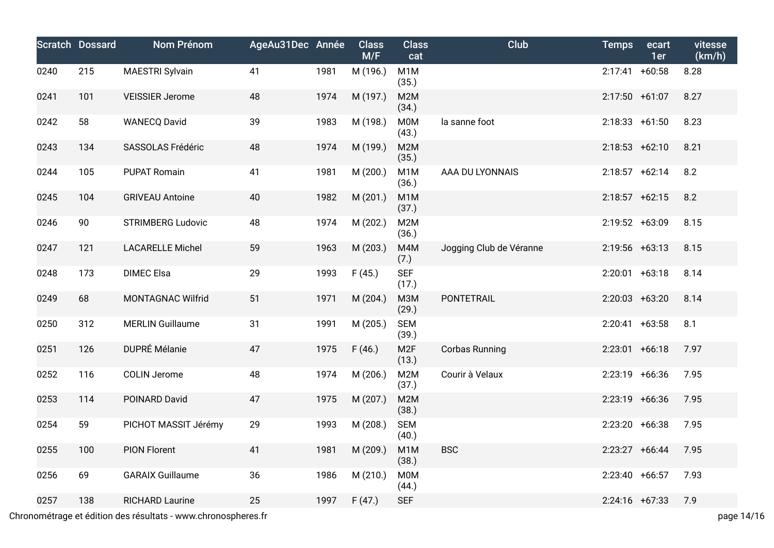|      | <b>Scratch Dossard</b> | Nom Prénom               | AgeAu31Dec Année |      | <b>Class</b><br>M/F | <b>Class</b><br>cat       | Club                    | <b>Temps</b>      | ecart<br>1er | vitesse<br>(km/h) |
|------|------------------------|--------------------------|------------------|------|---------------------|---------------------------|-------------------------|-------------------|--------------|-------------------|
| 0240 | 215                    | <b>MAESTRI Sylvain</b>   | 41               | 1981 | M (196.)            | M <sub>1</sub> M<br>(35.) |                         | $2:17:41 + 60:58$ |              | 8.28              |
| 0241 | 101                    | <b>VEISSIER Jerome</b>   | 48               | 1974 | M (197.)            | M2M<br>(34.)              |                         | 2:17:50 +61:07    |              | 8.27              |
| 0242 | 58                     | <b>WANECQ David</b>      | 39               | 1983 | M (198.)            | <b>M0M</b><br>(43.)       | la sanne foot           | $2:18:33 + 61:50$ |              | 8.23              |
| 0243 | 134                    | SASSOLAS Frédéric        | 48               | 1974 | M (199.)            | M <sub>2</sub> M<br>(35.) |                         | $2:18:53 +62:10$  |              | 8.21              |
| 0244 | 105                    | <b>PUPAT Romain</b>      | 41               | 1981 | M (200.)            | M <sub>1</sub> M<br>(36.) | AAA DU LYONNAIS         | $2:18:57$ +62:14  |              | 8.2               |
| 0245 | 104                    | <b>GRIVEAU Antoine</b>   | 40               | 1982 | M (201.)            | M <sub>1</sub> M<br>(37.) |                         | $2:18:57$ +62:15  |              | 8.2               |
| 0246 | 90                     | <b>STRIMBERG Ludovic</b> | 48               | 1974 | M (202.)            | M <sub>2</sub> M<br>(36.) |                         | 2:19:52 +63:09    |              | 8.15              |
| 0247 | 121                    | <b>LACARELLE Michel</b>  | 59               | 1963 | M (203.)            | M4M<br>(7.)               | Jogging Club de Véranne | $2:19:56$ +63:13  |              | 8.15              |
| 0248 | 173                    | <b>DIMEC Elsa</b>        | 29               | 1993 | F(45.)              | <b>SEF</b><br>(17.)       |                         | $2:20:01$ +63:18  |              | 8.14              |
| 0249 | 68                     | MONTAGNAC Wilfrid        | 51               | 1971 | M (204.)            | <b>M3M</b><br>(29.)       | PONTETRAIL              | $2:20:03$ +63:20  |              | 8.14              |
| 0250 | 312                    | <b>MERLIN Guillaume</b>  | 31               | 1991 | M (205.)            | <b>SEM</b><br>(39.)       |                         | $2:20:41 +63:58$  |              | 8.1               |
| 0251 | 126                    | <b>DUPRÉ Mélanie</b>     | 47               | 1975 | F(46.)              | M <sub>2F</sub><br>(13.)  | <b>Corbas Running</b>   | $2:23:01$ +66:18  |              | 7.97              |
| 0252 | 116                    | <b>COLIN Jerome</b>      | 48               | 1974 | M (206.)            | M2M<br>(37.)              | Courir à Velaux         | $2:23:19$ +66:36  |              | 7.95              |
| 0253 | 114                    | POINARD David            | 47               | 1975 | M (207.)            | M <sub>2</sub> M<br>(38.) |                         | 2:23:19 +66:36    |              | 7.95              |
| 0254 | 59                     | PICHOT MASSIT Jérémy     | 29               | 1993 | M (208.)            | <b>SEM</b><br>(40.)       |                         | $2:23:20 +66:38$  |              | 7.95              |
| 0255 | 100                    | <b>PION Florent</b>      | 41               | 1981 | M (209.)            | M <sub>1</sub> M<br>(38.) | <b>BSC</b>              | $2:23:27 +66:44$  |              | 7.95              |
| 0256 | 69                     | <b>GARAIX Guillaume</b>  | 36               | 1986 | M (210.)            | M0M<br>(44.)              |                         | $2:23:40 +66:57$  |              | 7.93              |
| 0257 | 138                    | <b>RICHARD Laurine</b>   | 25               | 1997 | F(47.)              | <b>SEF</b>                |                         | $2:24:16$ +67:33  |              | 7.9               |

Chronométrage et édition des résultats - www.chronospheres.fr page 14/16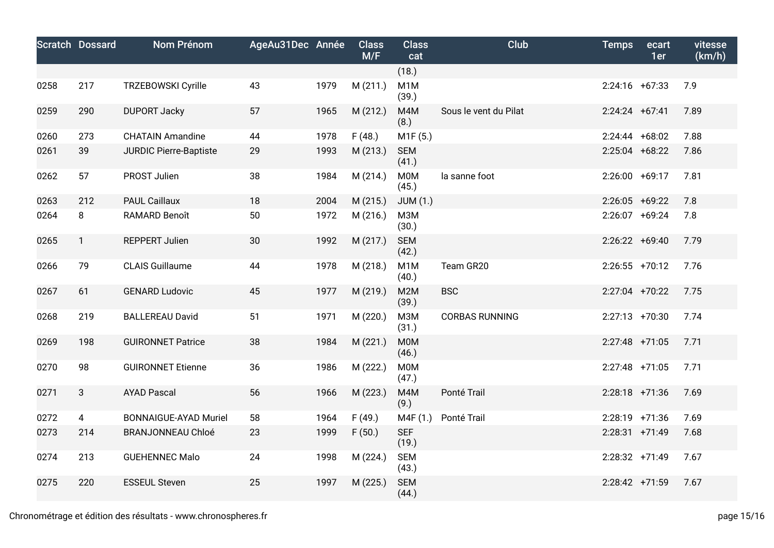|      | <b>Scratch Dossard</b> | <b>Nom Prénom</b>             | AgeAu31Dec Année |      | <b>Class</b><br>M/F | <b>Class</b><br>cat       | <b>Club</b>           | <b>Temps</b>      | ecart<br>1er | vitesse<br>(km/h) |
|------|------------------------|-------------------------------|------------------|------|---------------------|---------------------------|-----------------------|-------------------|--------------|-------------------|
|      |                        |                               |                  |      |                     | (18.)                     |                       |                   |              |                   |
| 0258 | 217                    | <b>TRZEBOWSKI Cyrille</b>     | 43               | 1979 | M(211.)             | M <sub>1</sub> M<br>(39.) |                       | $2:24:16$ +67:33  |              | 7.9               |
| 0259 | 290                    | <b>DUPORT Jacky</b>           | 57               | 1965 | M (212.)            | M4M<br>(8.)               | Sous le vent du Pilat | $2:24:24$ +67:41  |              | 7.89              |
| 0260 | 273                    | <b>CHATAIN Amandine</b>       | 44               | 1978 | F(48.)              | M1F(5.)                   |                       | $2:24:44 + 68:02$ |              | 7.88              |
| 0261 | 39                     | <b>JURDIC Pierre-Baptiste</b> | 29               | 1993 | M (213.)            | <b>SEM</b><br>(41.)       |                       | $2:25:04$ +68:22  |              | 7.86              |
| 0262 | 57                     | PROST Julien                  | 38               | 1984 | M (214.)            | M0M<br>(45.)              | la sanne foot         | 2:26:00           | $+69:17$     | 7.81              |
| 0263 | 212                    | <b>PAUL Caillaux</b>          | 18               | 2004 | M (215.)            | <b>JUM (1.)</b>           |                       | $2:26:05$ +69:22  |              | 7.8               |
| 0264 | 8                      | RAMARD Benoît                 | 50               | 1972 | M (216.)            | <b>МЗМ</b><br>(30.)       |                       | 2:26:07 +69:24    |              | 7.8               |
| 0265 | $\mathbf{1}$           | <b>REPPERT Julien</b>         | 30               | 1992 | M (217.)            | <b>SEM</b><br>(42.)       |                       | $2:26:22 +69:40$  |              | 7.79              |
| 0266 | 79                     | <b>CLAIS Guillaume</b>        | 44               | 1978 | M (218.)            | M <sub>1</sub> M<br>(40.) | Team GR20             | $2:26:55$ +70:12  |              | 7.76              |
| 0267 | 61                     | <b>GENARD Ludovic</b>         | 45               | 1977 | M (219.)            | M <sub>2</sub> M<br>(39.) | <b>BSC</b>            | $2:27:04$ +70:22  |              | 7.75              |
| 0268 | 219                    | <b>BALLEREAU David</b>        | 51               | 1971 | M (220.)            | M3M<br>(31.)              | <b>CORBAS RUNNING</b> | $2:27:13$ +70:30  |              | 7.74              |
| 0269 | 198                    | <b>GUIRONNET Patrice</b>      | 38               | 1984 | M (221.)            | <b>M0M</b><br>(46.)       |                       | 2:27:48 +71:05    |              | 7.71              |
| 0270 | 98                     | <b>GUIRONNET Etienne</b>      | 36               | 1986 | M (222.)            | M0M<br>(47.)              |                       | 2:27:48 +71:05    |              | 7.71              |
| 0271 | 3                      | <b>AYAD Pascal</b>            | 56               | 1966 | M (223.)            | M4M<br>(9.)               | Ponté Trail           | $2:28:18$ +71:36  |              | 7.69              |
| 0272 | 4                      | <b>BONNAIGUE-AYAD Muriel</b>  | 58               | 1964 | F(49.)              | M4F (1.)                  | Ponté Trail           | 2:28:19 +71:36    |              | 7.69              |
| 0273 | 214                    | <b>BRANJONNEAU Chloé</b>      | 23               | 1999 | F(50.)              | <b>SEF</b><br>(19.)       |                       | $2:28:31$ +71:49  |              | 7.68              |
| 0274 | 213                    | <b>GUEHENNEC Malo</b>         | 24               | 1998 | M (224.)            | <b>SEM</b><br>(43.)       |                       | 2:28:32 +71:49    |              | 7.67              |
| 0275 | 220                    | <b>ESSEUL Steven</b>          | 25               | 1997 | M (225.)            | <b>SEM</b><br>(44.)       |                       | 2:28:42 +71:59    |              | 7.67              |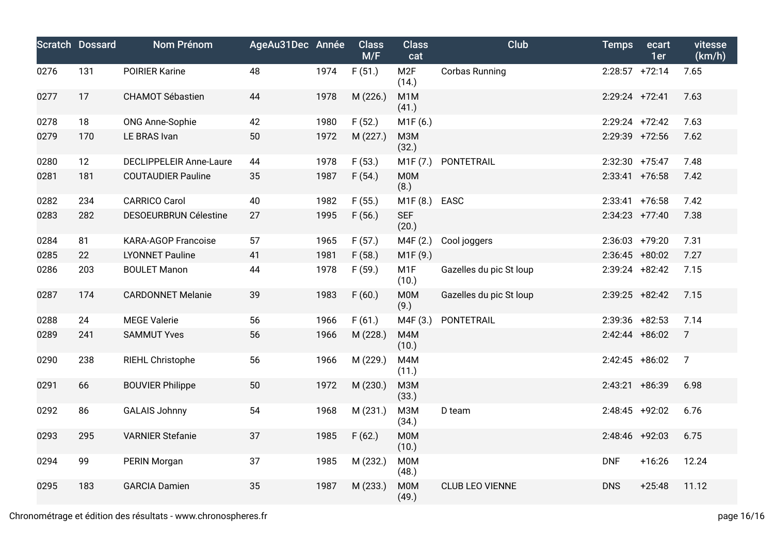|      | <b>Scratch Dossard</b> | Nom Prénom                     | AgeAu31Dec Année |      | <b>Class</b><br>M/F | <b>Class</b><br>cat       | <b>Club</b>             | <b>Temps</b>      | ecart<br>1er | vitesse<br>(km/h) |
|------|------------------------|--------------------------------|------------------|------|---------------------|---------------------------|-------------------------|-------------------|--------------|-------------------|
| 0276 | 131                    | <b>POIRIER Karine</b>          | 48               | 1974 | F(51.)              | M2F<br>(14.)              | Corbas Running          | $2:28:57$ +72:14  |              | 7.65              |
| 0277 | 17                     | <b>CHAMOT Sébastien</b>        | 44               | 1978 | M (226.)            | M <sub>1</sub> M<br>(41.) |                         | $2:29:24$ +72:41  |              | 7.63              |
| 0278 | 18                     | <b>ONG Anne-Sophie</b>         | 42               | 1980 | F(52.)              | M1F(6.)                   |                         | $2:29:24$ +72:42  |              | 7.63              |
| 0279 | 170                    | LE BRAS Ivan                   | 50               | 1972 | M (227.)            | <b>МЗМ</b><br>(32.)       |                         | 2:29:39 +72:56    |              | 7.62              |
| 0280 | 12                     | <b>DECLIPPELEIR Anne-Laure</b> | 44               | 1978 | F(53.)              | M1F(7.)                   | PONTETRAIL              | 2:32:30 +75:47    |              | 7.48              |
| 0281 | 181                    | <b>COUTAUDIER Pauline</b>      | 35               | 1987 | F(54.)              | <b>MOM</b><br>(8.)        |                         | $2:33:41$ +76:58  |              | 7.42              |
| 0282 | 234                    | <b>CARRICO Carol</b>           | 40               | 1982 | F(55.)              | M1F (8.)                  | <b>EASC</b>             | $2:33:41$ +76:58  |              | 7.42              |
| 0283 | 282                    | <b>DESOEURBRUN Célestine</b>   | 27               | 1995 | F(56.)              | <b>SEF</b><br>(20.)       |                         | $2:34:23 +77:40$  |              | 7.38              |
| 0284 | 81                     | <b>KARA-AGOP Francoise</b>     | 57               | 1965 | F(57.)              | M4F (2.)                  | Cool joggers            | $2:36:03$ +79:20  |              | 7.31              |
| 0285 | 22                     | <b>LYONNET Pauline</b>         | 41               | 1981 | F(58.)              | M1F (9.)                  |                         | $2:36:45$ +80:02  |              | 7.27              |
| 0286 | 203                    | <b>BOULET Manon</b>            | 44               | 1978 | F(59.)              | M <sub>1</sub> F<br>(10.) | Gazelles du pic St loup | $2:39:24$ +82:42  |              | 7.15              |
| 0287 | 174                    | <b>CARDONNET Melanie</b>       | 39               | 1983 | F(60.)              | <b>MOM</b><br>(9.)        | Gazelles du pic St loup | $2:39:25$ +82:42  |              | 7.15              |
| 0288 | 24                     | <b>MEGE Valerie</b>            | 56               | 1966 | F(61.)              | M4F (3.)                  | PONTETRAIL              | $2:39:36$ +82:53  |              | 7.14              |
| 0289 | 241                    | <b>SAMMUT Yves</b>             | 56               | 1966 | M (228.)            | M4M<br>(10.)              |                         | $2:42:44 + 86:02$ |              | $\overline{7}$    |
| 0290 | 238                    | RIEHL Christophe               | 56               | 1966 | M (229.)            | M4M<br>(11.)              |                         | $2:42:45$ +86:02  |              | $\overline{7}$    |
| 0291 | 66                     | <b>BOUVIER Philippe</b>        | 50               | 1972 | M (230.)            | <b>МЗМ</b><br>(33.)       |                         | $2:43:21 +86:39$  |              | 6.98              |
| 0292 | 86                     | <b>GALAIS Johnny</b>           | 54               | 1968 | M (231.)            | <b>МЗМ</b><br>(34.)       | D team                  | $2:48:45$ +92:02  |              | 6.76              |
| 0293 | 295                    | <b>VARNIER Stefanie</b>        | 37               | 1985 | F(62.)              | <b>MOM</b><br>(10.)       |                         | 2:48:46 +92:03    |              | 6.75              |
| 0294 | 99                     | PERIN Morgan                   | 37               | 1985 | M (232.)            | <b>MOM</b><br>(48.)       |                         | <b>DNF</b>        | $+16:26$     | 12.24             |
| 0295 | 183                    | <b>GARCIA Damien</b>           | 35               | 1987 | M (233.)            | <b>MOM</b><br>(49.)       | <b>CLUB LEO VIENNE</b>  | <b>DNS</b>        | $+25:48$     | 11.12             |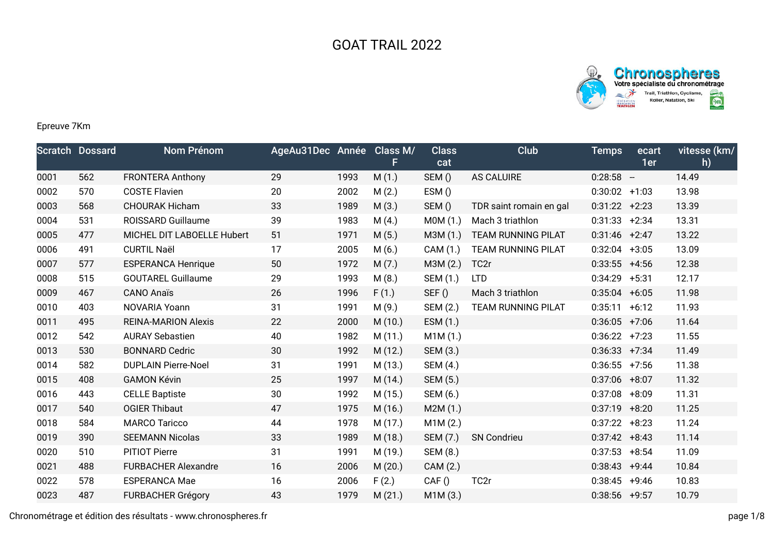



## Epreuve 7Km

|      | <b>Scratch Dossard</b> | <b>Nom Prénom</b>          | AgeAu31Dec Année Class M/ |      | F.      | <b>Class</b><br>cat | <b>Club</b>               | <b>Temps</b>     | ecart<br>1er | vitesse (km/<br>h) |
|------|------------------------|----------------------------|---------------------------|------|---------|---------------------|---------------------------|------------------|--------------|--------------------|
| 0001 | 562                    | <b>FRONTERA Anthony</b>    | 29                        | 1993 | M(1.)   | SEM()               | AS CALUIRE                | $0:28:58 -$      |              | 14.49              |
| 0002 | 570                    | <b>COSTE Flavien</b>       | 20                        | 2002 | M(2.)   | ESM()               |                           | $0:30:02$ +1:03  |              | 13.98              |
| 0003 | 568                    | <b>CHOURAK Hicham</b>      | 33                        | 1989 | M(3.)   | SEM()               | TDR saint romain en gal   | $0:31:22 +2:23$  |              | 13.39              |
| 0004 | 531                    | ROISSARD Guillaume         | 39                        | 1983 | M(4.)   | MOM(1.)             | Mach 3 triathlon          | 0:31:33          | $+2:34$      | 13.31              |
| 0005 | 477                    | MICHEL DIT LABOELLE Hubert | 51                        | 1971 | M(5.)   | M3M (1.)            | TEAM RUNNING PILAT        | $0:31:46$ +2:47  |              | 13.22              |
| 0006 | 491                    | <b>CURTIL Naël</b>         | 17                        | 2005 | M(6.)   | CAM (1.)            | <b>TEAM RUNNING PILAT</b> | 0:32:04          | $+3:05$      | 13.09              |
| 0007 | 577                    | <b>ESPERANCA Henrique</b>  | 50                        | 1972 | M(7.)   | M3M (2.)            | TC <sub>2r</sub>          | $0:33:55$ +4:56  |              | 12.38              |
| 0008 | 515                    | <b>GOUTAREL Guillaume</b>  | 29                        | 1993 | M(8.)   | SEM (1.)            | <b>LTD</b>                | $0:34:29$ +5:31  |              | 12.17              |
| 0009 | 467                    | <b>CANO Anaïs</b>          | 26                        | 1996 | F(1.)   | SEF()               | Mach 3 triathlon          | $0:35:04$ +6:05  |              | 11.98              |
| 0010 | 403                    | NOVARIA Yoann              | 31                        | 1991 | M(9.)   | SEM (2.)            | <b>TEAM RUNNING PILAT</b> | $0:35:11 + 6:12$ |              | 11.93              |
| 0011 | 495                    | <b>REINA-MARION Alexis</b> | 22                        | 2000 | M(10.)  | ESM (1.)            |                           | $0:36:05$ +7:06  |              | 11.64              |
| 0012 | 542                    | <b>AURAY Sebastien</b>     | 40                        | 1982 | M(11.)  | M1M(1.)             |                           | $0:36:22 +7:23$  |              | 11.55              |
| 0013 | 530                    | <b>BONNARD Cedric</b>      | 30                        | 1992 | M (12.) | SEM (3.)            |                           | $0:36:33 +7:34$  |              | 11.49              |
| 0014 | 582                    | <b>DUPLAIN Pierre-Noel</b> | 31                        | 1991 | M (13.) | SEM (4.)            |                           | $0:36:55$ +7:56  |              | 11.38              |
| 0015 | 408                    | <b>GAMON Kévin</b>         | 25                        | 1997 | M(14.)  | SEM (5.)            |                           | $0:37:06$ +8:07  |              | 11.32              |
| 0016 | 443                    | <b>CELLE Baptiste</b>      | 30                        | 1992 | M(15.)  | SEM (6.)            |                           | 0:37:08          | $+8:09$      | 11.31              |
| 0017 | 540                    | <b>OGIER Thibaut</b>       | 47                        | 1975 | M (16.) | M2M(1.)             |                           | $0:37:19$ +8:20  |              | 11.25              |
| 0018 | 584                    | <b>MARCO Taricco</b>       | 44                        | 1978 | M(17.)  | M1M(2.)             |                           | $0:37:22 + 8:23$ |              | 11.24              |
| 0019 | 390                    | <b>SEEMANN Nicolas</b>     | 33                        | 1989 | M (18.) | SEM (7.)            | <b>SN Condrieu</b>        | $0:37:42 +8:43$  |              | 11.14              |
| 0020 | 510                    | <b>PITIOT Pierre</b>       | 31                        | 1991 | M (19.) | SEM (8.)            |                           | 0:37:53          | $+8:54$      | 11.09              |
| 0021 | 488                    | <b>FURBACHER Alexandre</b> | 16                        | 2006 | M(20.)  | CAM (2.)            |                           | $0:38:43 +9:44$  |              | 10.84              |
| 0022 | 578                    | <b>ESPERANCA Mae</b>       | 16                        | 2006 | F(2.)   | CAF()               | TC <sub>2r</sub>          | $0:38:45$ +9:46  |              | 10.83              |
| 0023 | 487                    | <b>FURBACHER Grégory</b>   | 43                        | 1979 | M(21.)  | M1M(3.)             |                           | $0:38:56$ +9:57  |              | 10.79              |

Chronométrage et édition des résultats - www.chronospheres.fr page 1/8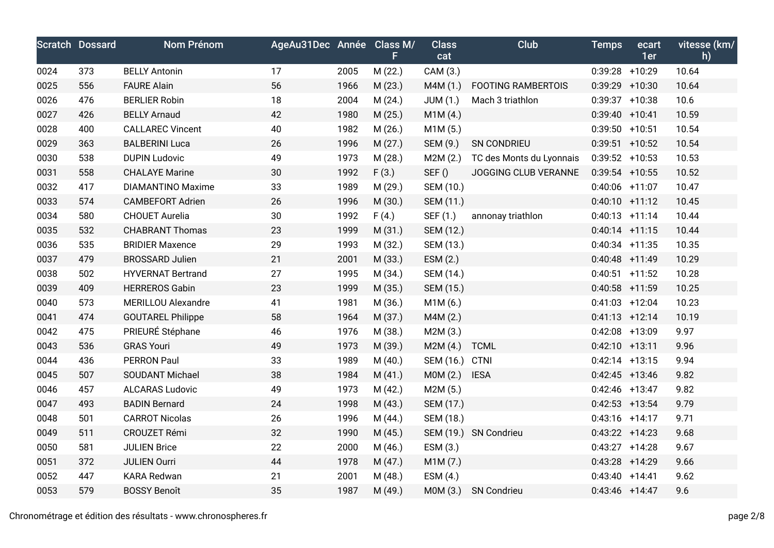|      | <b>Scratch Dossard</b> | Nom Prénom                | AgeAu31Dec Année Class M/ |      |         | <b>Class</b> | Club                      | <b>Temps</b>      | ecart | vitesse (km/ |
|------|------------------------|---------------------------|---------------------------|------|---------|--------------|---------------------------|-------------------|-------|--------------|
|      |                        |                           |                           |      | F.      | cat          |                           |                   | 1er   | h)           |
| 0024 | 373                    | <b>BELLY Antonin</b>      | 17                        | 2005 | M (22.) | CAM (3.)     |                           | $0:39:28$ +10:29  |       | 10.64        |
| 0025 | 556                    | <b>FAURE Alain</b>        | 56                        | 1966 | M(23.)  | M4M(1.)      | <b>FOOTING RAMBERTOIS</b> | 0:39:29 +10:30    |       | 10.64        |
| 0026 | 476                    | <b>BERLIER Robin</b>      | 18                        | 2004 | M(24.)  | JUM (1.)     | Mach 3 triathlon          | $0:39:37$ +10:38  |       | 10.6         |
| 0027 | 426                    | <b>BELLY Arnaud</b>       | 42                        | 1980 | M (25.) | M1M(4.)      |                           | $0:39:40 + 10:41$ |       | 10.59        |
| 0028 | 400                    | <b>CALLAREC Vincent</b>   | 40                        | 1982 | M (26.) | M1M (5.)     |                           | $0:39:50$ +10:51  |       | 10.54        |
| 0029 | 363                    | <b>BALBERINI Luca</b>     | 26                        | 1996 | M(27.)  | SEM (9.)     | SN CONDRIEU               | $0:39:51$ +10:52  |       | 10.54        |
| 0030 | 538                    | <b>DUPIN Ludovic</b>      | 49                        | 1973 | M(28.)  | M2M(2.)      | TC des Monts du Lyonnais  | $0:39:52 + 10:53$ |       | 10.53        |
| 0031 | 558                    | <b>CHALAYE Marine</b>     | 30                        | 1992 | F(3.)   | SEF()        | JOGGING CLUB VERANNE      | $0:39:54$ +10:55  |       | 10.52        |
| 0032 | 417                    | <b>DIAMANTINO Maxime</b>  | 33                        | 1989 | M (29.) | SEM (10.)    |                           | $0:40:06$ +11:07  |       | 10.47        |
| 0033 | 574                    | <b>CAMBEFORT Adrien</b>   | 26                        | 1996 | M (30.) | SEM (11.)    |                           | $0:40:10$ +11:12  |       | 10.45        |
| 0034 | 580                    | <b>CHOUET Aurelia</b>     | 30                        | 1992 | F(4.)   | SEF (1.)     | annonay triathlon         | $0:40:13$ +11:14  |       | 10.44        |
| 0035 | 532                    | <b>CHABRANT Thomas</b>    | 23                        | 1999 | M(31.)  | SEM (12.)    |                           | $0:40:14$ +11:15  |       | 10.44        |
| 0036 | 535                    | <b>BRIDIER Maxence</b>    | 29                        | 1993 | M (32.) | SEM (13.)    |                           | $0:40:34$ +11:35  |       | 10.35        |
| 0037 | 479                    | <b>BROSSARD Julien</b>    | 21                        | 2001 | M (33.) | ESM(2.)      |                           | $0:40:48$ +11:49  |       | 10.29        |
| 0038 | 502                    | <b>HYVERNAT Bertrand</b>  | 27                        | 1995 | M (34.) | SEM (14.)    |                           | $0:40:51$ +11:52  |       | 10.28        |
| 0039 | 409                    | <b>HERREROS Gabin</b>     | 23                        | 1999 | M (35.) | SEM (15.)    |                           | $0:40:58$ +11:59  |       | 10.25        |
| 0040 | 573                    | <b>MERILLOU Alexandre</b> | 41                        | 1981 | M (36.) | M1M(6.)      |                           | $0:41:03$ +12:04  |       | 10.23        |
| 0041 | 474                    | <b>GOUTAREL Philippe</b>  | 58                        | 1964 | M (37.) | M4M (2.)     |                           | $0:41:13 +12:14$  |       | 10.19        |
| 0042 | 475                    | PRIEURÉ Stéphane          | 46                        | 1976 | M (38.) | M2M(3.)      |                           | $0:42:08$ +13:09  |       | 9.97         |
| 0043 | 536                    | <b>GRAS Youri</b>         | 49                        | 1973 | M (39.) | M2M(4.)      | <b>TCML</b>               | $0:42:10$ +13:11  |       | 9.96         |
| 0044 | 436                    | <b>PERRON Paul</b>        | 33                        | 1989 | M(40.)  | SEM (16.)    | <b>CTNI</b>               | $0:42:14$ +13:15  |       | 9.94         |
| 0045 | 507                    | <b>SOUDANT Michael</b>    | 38                        | 1984 | M(41.)  | MOM(2.)      | <b>IESA</b>               | $0:42:45$ +13:46  |       | 9.82         |
| 0046 | 457                    | <b>ALCARAS Ludovic</b>    | 49                        | 1973 | M (42.) | M2M(5.)      |                           | $0:42:46$ +13:47  |       | 9.82         |
| 0047 | 493                    | <b>BADIN Bernard</b>      | 24                        | 1998 | M(43.)  | SEM (17.)    |                           | $0:42:53$ +13:54  |       | 9.79         |
| 0048 | 501                    | <b>CARROT Nicolas</b>     | 26                        | 1996 | M (44.) | SEM (18.)    |                           | $0:43:16$ +14:17  |       | 9.71         |
| 0049 | 511                    | CROUZET Rémi              | 32                        | 1990 | M (45.) | SEM (19.)    | <b>SN Condrieu</b>        | $0:43:22 +14:23$  |       | 9.68         |
| 0050 | 581                    | <b>JULIEN Brice</b>       | 22                        | 2000 | M (46.) | ESM (3.)     |                           | $0:43:27$ +14:28  |       | 9.67         |
| 0051 | 372                    | <b>JULIEN Ourri</b>       | 44                        | 1978 | M(47.)  | M1M(7.)      |                           | $0:43:28$ +14:29  |       | 9.66         |
| 0052 | 447                    | <b>KARA Redwan</b>        | 21                        | 2001 | M(48.)  | ESM(4.)      |                           | $0:43:40 +14:41$  |       | 9.62         |
| 0053 | 579                    | <b>BOSSY Benoît</b>       | 35                        | 1987 | M (49.) | M0M (3.)     | <b>SN Condrieu</b>        | $0:43:46$ +14:47  |       | 9.6          |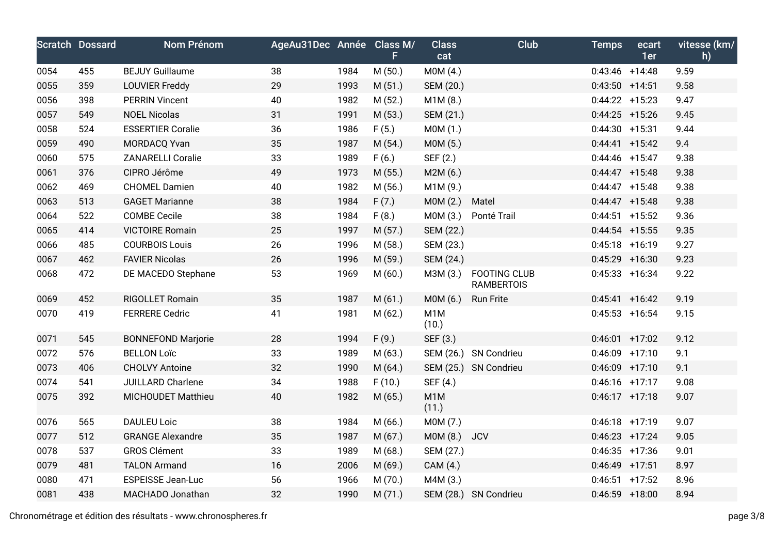|      | <b>Scratch Dossard</b> | Nom Prénom                | AgeAu31Dec Année Class M/ |      |         | <b>Class</b>              | Club                                     | <b>Temps</b>      | ecart | vitesse (km/ |
|------|------------------------|---------------------------|---------------------------|------|---------|---------------------------|------------------------------------------|-------------------|-------|--------------|
|      |                        |                           |                           |      | F.      | cat                       |                                          |                   | 1er   | h)           |
| 0054 | 455                    | <b>BEJUY Guillaume</b>    | 38                        | 1984 | M(50.)  | MOM(4.)                   |                                          | $0:43:46$ +14:48  |       | 9.59         |
| 0055 | 359                    | <b>LOUVIER Freddy</b>     | 29                        | 1993 | M(51.)  | SEM (20.)                 |                                          | $0:43:50$ +14:51  |       | 9.58         |
| 0056 | 398                    | <b>PERRIN Vincent</b>     | 40                        | 1982 | M (52.) | M1M(8.)                   |                                          | $0:44:22 + 15:23$ |       | 9.47         |
| 0057 | 549                    | <b>NOEL Nicolas</b>       | 31                        | 1991 | M(53.)  | SEM (21.)                 |                                          | $0:44:25$ +15:26  |       | 9.45         |
| 0058 | 524                    | <b>ESSERTIER Coralie</b>  | 36                        | 1986 | F(5.)   | MOM(1.)                   |                                          | $0:44:30 + 15:31$ |       | 9.44         |
| 0059 | 490                    | MORDACQ Yvan              | 35                        | 1987 | M(54.)  | MOM(5.)                   |                                          | $0:44:41$ +15:42  |       | 9.4          |
| 0060 | 575                    | <b>ZANARELLI Coralie</b>  | 33                        | 1989 | F(6.)   | SEF (2.)                  |                                          | $0:44:46$ +15:47  |       | 9.38         |
| 0061 | 376                    | CIPRO Jérôme              | 49                        | 1973 | M (55.) | M2M(6.)                   |                                          | $0:44:47$ +15:48  |       | 9.38         |
| 0062 | 469                    | <b>CHOMEL Damien</b>      | 40                        | 1982 | M(56.)  | M1M(9.)                   |                                          | $0:44:47$ +15:48  |       | 9.38         |
| 0063 | 513                    | <b>GAGET Marianne</b>     | 38                        | 1984 | F(7.)   | MOM(2.)                   | Matel                                    | $0:44:47$ +15:48  |       | 9.38         |
| 0064 | 522                    | <b>COMBE Cecile</b>       | 38                        | 1984 | F(8.)   | M0M (3.)                  | Ponté Trail                              | $0:44:51$ +15:52  |       | 9.36         |
| 0065 | 414                    | <b>VICTOIRE Romain</b>    | 25                        | 1997 | M(57.)  | SEM (22.)                 |                                          | $0:44:54$ +15:55  |       | 9.35         |
| 0066 | 485                    | <b>COURBOIS Louis</b>     | 26                        | 1996 | M (58.) | SEM (23.)                 |                                          | $0:45:18$ +16:19  |       | 9.27         |
| 0067 | 462                    | <b>FAVIER Nicolas</b>     | 26                        | 1996 | M (59.) | SEM (24.)                 |                                          | $0:45:29$ +16:30  |       | 9.23         |
| 0068 | 472                    | DE MACEDO Stephane        | 53                        | 1969 | M(60.)  | M3M (3.)                  | <b>FOOTING CLUB</b><br><b>RAMBERTOIS</b> | $0:45:33$ +16:34  |       | 9.22         |
| 0069 | 452                    | RIGOLLET Romain           | 35                        | 1987 | M(61.)  | MOM(6.)                   | <b>Run Frite</b>                         | $0:45:41$ +16:42  |       | 9.19         |
| 0070 | 419                    | <b>FERRERE Cedric</b>     | 41                        | 1981 | M(62.)  | M <sub>1</sub> M<br>(10.) |                                          | $0:45:53$ +16:54  |       | 9.15         |
| 0071 | 545                    | <b>BONNEFOND Marjorie</b> | 28                        | 1994 | F(9.)   | SEF (3.)                  |                                          | $0:46:01$ +17:02  |       | 9.12         |
| 0072 | 576                    | <b>BELLON Loïc</b>        | 33                        | 1989 | M(63.)  |                           | SEM (26.) SN Condrieu                    | $0:46:09$ +17:10  |       | 9.1          |
| 0073 | 406                    | <b>CHOLVY Antoine</b>     | 32                        | 1990 | M(64.)  |                           | SEM (25.) SN Condrieu                    | $0:46:09$ +17:10  |       | 9.1          |
| 0074 | 541                    | JUILLARD Charlene         | 34                        | 1988 | F(10.)  | SEF (4.)                  |                                          | $0:46:16$ +17:17  |       | 9.08         |
| 0075 | 392                    | <b>MICHOUDET Matthieu</b> | 40                        | 1982 | M(65.)  | M <sub>1</sub> M<br>(11.) |                                          | $0:46:17$ +17:18  |       | 9.07         |
| 0076 | 565                    | <b>DAULEU Loic</b>        | 38                        | 1984 | M(66.)  | M0M (7.)                  |                                          | $0:46:18$ +17:19  |       | 9.07         |
| 0077 | 512                    | <b>GRANGE Alexandre</b>   | 35                        | 1987 | M(67.)  | MOM(8.)                   | <b>JCV</b>                               | $0:46:23 +17:24$  |       | 9.05         |
| 0078 | 537                    | <b>GROS Clément</b>       | 33                        | 1989 | M(68.)  | SEM (27.)                 |                                          | $0:46:35$ +17:36  |       | 9.01         |
| 0079 | 481                    | <b>TALON Armand</b>       | 16                        | 2006 | M (69.) | CAM (4.)                  |                                          | $0:46:49$ +17:51  |       | 8.97         |
| 0080 | 471                    | <b>ESPEISSE Jean-Luc</b>  | 56                        | 1966 | M (70.) | M4M (3.)                  |                                          | $0:46:51$ +17:52  |       | 8.96         |
| 0081 | 438                    | MACHADO Jonathan          | 32                        | 1990 | M(71.)  |                           | SEM (28.) SN Condrieu                    | $0:46:59$ +18:00  |       | 8.94         |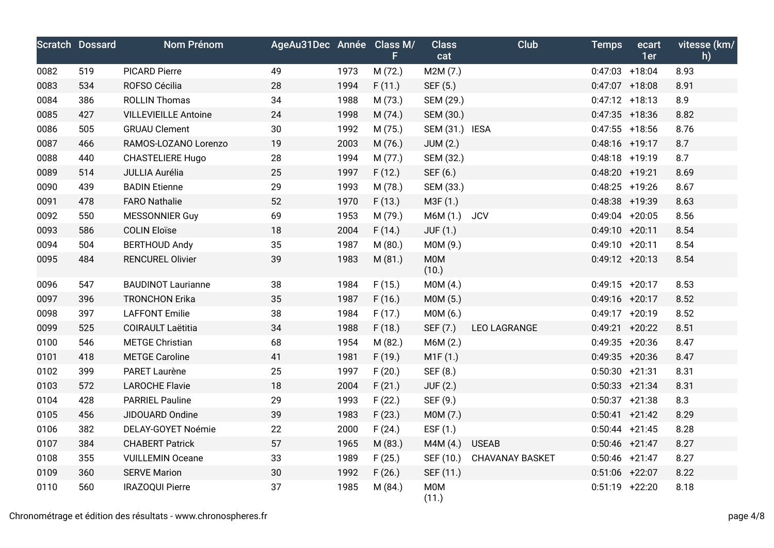|      | <b>Scratch Dossard</b> | Nom Prénom                  | AgeAu31Dec Année Class M/ |      |               | <b>Class</b>        | Club                   | <b>Temps</b>      | ecart<br>1er | vitesse (km/<br>h) |
|------|------------------------|-----------------------------|---------------------------|------|---------------|---------------------|------------------------|-------------------|--------------|--------------------|
| 0082 | 519                    | <b>PICARD Pierre</b>        | 49                        | 1973 | F.<br>M (72.) | cat<br>M2M (7.)     |                        | $0:47:03$ +18:04  |              | 8.93               |
| 0083 | 534                    | ROFSO Cécilia               | 28                        | 1994 | F(11.)        | SEF (5.)            |                        | $0:47:07$ +18:08  |              | 8.91               |
| 0084 | 386                    | <b>ROLLIN Thomas</b>        | 34                        | 1988 | M (73.)       | SEM (29.)           |                        | $0:47:12 +18:13$  |              | 8.9                |
| 0085 | 427                    | <b>VILLEVIEILLE Antoine</b> | 24                        | 1998 | M (74.)       | SEM (30.)           |                        | $0:47:35$ +18:36  |              | 8.82               |
| 0086 | 505                    | <b>GRUAU Clement</b>        | 30                        | 1992 | M (75.)       | SEM (31.) IESA      |                        | $0:47:55$ +18:56  |              | 8.76               |
| 0087 | 466                    | RAMOS-LOZANO Lorenzo        | 19                        | 2003 | M (76.)       | <b>JUM (2.)</b>     |                        | $0:48:16$ +19:17  |              | 8.7                |
| 0088 | 440                    |                             | 28                        | 1994 |               |                     |                        | $0:48:18$ +19:19  |              | 8.7                |
|      |                        | <b>CHASTELIERE Hugo</b>     |                           |      | M(77.)        | SEM (32.)           |                        |                   |              |                    |
| 0089 | 514                    | JULLIA Aurélia              | 25                        | 1997 | F(12.)        | SEF (6.)            |                        | $0:48:20 + 19:21$ |              | 8.69               |
| 0090 | 439                    | <b>BADIN Etienne</b>        | 29                        | 1993 | M (78.)       | SEM (33.)           |                        | $0:48:25$ +19:26  |              | 8.67               |
| 0091 | 478                    | <b>FARO Nathalie</b>        | 52                        | 1970 | F(13.)        | M3F (1.)            |                        | 0:48:38 +19:39    |              | 8.63               |
| 0092 | 550                    | <b>MESSONNIER Guy</b>       | 69                        | 1953 | M (79.)       | M6M (1.)            | <b>JCV</b>             | $0:49:04$ +20:05  |              | 8.56               |
| 0093 | 586                    | <b>COLIN Eloïse</b>         | 18                        | 2004 | F(14.)        | <b>JUF (1.)</b>     |                        | $0:49:10 + 20:11$ |              | 8.54               |
| 0094 | 504                    | <b>BERTHOUD Andy</b>        | 35                        | 1987 | M(80.)        | M0M (9.)            |                        | $0:49:10 + 20:11$ |              | 8.54               |
| 0095 | 484                    | <b>RENCUREL Olivier</b>     | 39                        | 1983 | M (81.)       | M0M<br>(10.)        |                        | $0:49:12 +20:13$  |              | 8.54               |
| 0096 | 547                    | <b>BAUDINOT Laurianne</b>   | 38                        | 1984 | F(15.)        | MOM(4.)             |                        | $0:49:15$ +20:17  |              | 8.53               |
| 0097 | 396                    | <b>TRONCHON Erika</b>       | 35                        | 1987 | F(16.)        | M0M (5.)            |                        | $0:49:16$ +20:17  |              | 8.52               |
| 0098 | 397                    | <b>LAFFONT Emilie</b>       | 38                        | 1984 | F(17.)        | MOM(6.)             |                        | $0:49:17$ +20:19  |              | 8.52               |
| 0099 | 525                    | <b>COIRAULT Laëtitia</b>    | 34                        | 1988 | F(18.)        | SEF (7.)            | <b>LEO LAGRANGE</b>    | $0:49:21 + 20:22$ |              | 8.51               |
| 0100 | 546                    | <b>METGE Christian</b>      | 68                        | 1954 | M (82.)       | M6M (2.)            |                        | $0:49:35$ +20:36  |              | 8.47               |
| 0101 | 418                    | <b>METGE Caroline</b>       | 41                        | 1981 | F(19.)        | M1F(1.)             |                        | $0:49:35$ +20:36  |              | 8.47               |
| 0102 | 399                    | PARET Laurène               | 25                        | 1997 | F(20.)        | SEF (8.)            |                        | $0:50:30 +21:31$  |              | 8.31               |
| 0103 | 572                    | <b>LAROCHE Flavie</b>       | 18                        | 2004 | F(21.)        | JUF(2.)             |                        | $0:50:33$ +21:34  |              | 8.31               |
| 0104 | 428                    | <b>PARRIEL Pauline</b>      | 29                        | 1993 | F(22.)        | SEF (9.)            |                        | $0:50:37 +21:38$  |              | 8.3                |
| 0105 | 456                    | JIDOUARD Ondine             | 39                        | 1983 | F(23.)        | M0M (7.)            |                        | $0:50:41 +21:42$  |              | 8.29               |
| 0106 | 382                    | DELAY-GOYET Noémie          | 22                        | 2000 | F(24.)        | ESF (1.)            |                        | $0:50:44$ +21:45  |              | 8.28               |
| 0107 | 384                    | <b>CHABERT Patrick</b>      | 57                        | 1965 | M (83.)       | M4M(4.)             | <b>USEAB</b>           | $0:50:46$ +21:47  |              | 8.27               |
| 0108 | 355                    | <b>VUILLEMIN Oceane</b>     | 33                        | 1989 | F(25.)        | SEF (10.)           | <b>CHAVANAY BASKET</b> | $0:50:46$ +21:47  |              | 8.27               |
| 0109 | 360                    | <b>SERVE Marion</b>         | 30                        | 1992 | F(26.)        | SEF (11.)           |                        | $0:51:06$ +22:07  |              | 8.22               |
| 0110 | 560                    | <b>IRAZOQUI Pierre</b>      | 37                        | 1985 | M (84.)       | <b>M0M</b><br>(11.) |                        | $0:51:19$ +22:20  |              | 8.18               |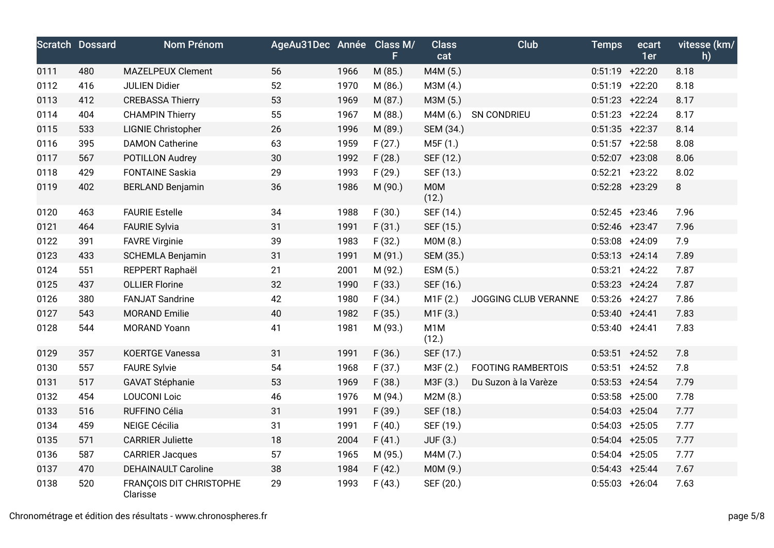|      | <b>Scratch Dossard</b> | Nom Prénom                          | AgeAu31Dec Année Class M/ |      | F.      | <b>Class</b><br>cat       | <b>Club</b>               | <b>Temps</b>      | ecart<br>1er | vitesse (km/<br>h) |
|------|------------------------|-------------------------------------|---------------------------|------|---------|---------------------------|---------------------------|-------------------|--------------|--------------------|
| 0111 | 480                    | <b>MAZELPEUX Clement</b>            | 56                        | 1966 | M (85.) | M4M (5.)                  |                           | $0:51:19$ +22:20  |              | 8.18               |
| 0112 | 416                    | <b>JULIEN Didier</b>                | 52                        | 1970 | M (86.) | M3M (4.)                  |                           | $0:51:19$ +22:20  |              | 8.18               |
| 0113 | 412                    | <b>CREBASSA Thierry</b>             | 53                        | 1969 | M (87.) | M3M (5.)                  |                           | $0:51:23$ +22:24  |              | 8.17               |
| 0114 | 404                    | <b>CHAMPIN Thierry</b>              | 55                        | 1967 | M (88.) | M4M (6.)                  | SN CONDRIEU               | $0:51:23$ +22:24  |              | 8.17               |
| 0115 | 533                    | <b>LIGNIE Christopher</b>           | 26                        | 1996 | M (89.) | SEM (34.)                 |                           | $0:51:35$ +22:37  |              | 8.14               |
| 0116 | 395                    | <b>DAMON Catherine</b>              | 63                        | 1959 | F(27.)  | M5F (1.)                  |                           | $0:51:57$ +22:58  |              | 8.08               |
| 0117 | 567                    | POTILLON Audrey                     | 30                        | 1992 | F(28.)  | SEF (12.)                 |                           | $0:52:07$ +23:08  |              | 8.06               |
| 0118 | 429                    | <b>FONTAINE Saskia</b>              | 29                        | 1993 | F(29.)  | SEF (13.)                 |                           | $0:52:21$ +23:22  |              | 8.02               |
| 0119 | 402                    | <b>BERLAND Benjamin</b>             | 36                        | 1986 | M (90.) | <b>M0M</b><br>(12.)       |                           | $0:52:28$ +23:29  |              | $\,8\,$            |
| 0120 | 463                    | <b>FAURIE Estelle</b>               | 34                        | 1988 | F(30.)  | SEF (14.)                 |                           | $0:52:45$ +23:46  |              | 7.96               |
| 0121 | 464                    | <b>FAURIE Sylvia</b>                | 31                        | 1991 | F(31.)  | SEF (15.)                 |                           | $0:52:46$ +23:47  |              | 7.96               |
| 0122 | 391                    | <b>FAVRE Virginie</b>               | 39                        | 1983 | F(32.)  | M0M (8.)                  |                           | $0:53:08$ +24:09  |              | 7.9                |
| 0123 | 433                    | SCHEMLA Benjamin                    | 31                        | 1991 | M (91.) | SEM (35.)                 |                           | $0:53:13 + 24:14$ |              | 7.89               |
| 0124 | 551                    | REPPERT Raphaël                     | 21                        | 2001 | M (92.) | ESM (5.)                  |                           | $0:53:21 +24:22$  |              | 7.87               |
| 0125 | 437                    | <b>OLLIER Florine</b>               | 32                        | 1990 | F(33.)  | SEF (16.)                 |                           | $0:53:23 +24:24$  |              | 7.87               |
| 0126 | 380                    | <b>FANJAT Sandrine</b>              | 42                        | 1980 | F(34.)  | M1F(2.)                   | JOGGING CLUB VERANNE      | $0:53:26$ +24:27  |              | 7.86               |
| 0127 | 543                    | <b>MORAND Emilie</b>                | 40                        | 1982 | F(35.)  | M1F(3.)                   |                           | $0:53:40 +24:41$  |              | 7.83               |
| 0128 | 544                    | <b>MORAND Yoann</b>                 | 41                        | 1981 | M (93.) | M <sub>1</sub> M<br>(12.) |                           | $0:53:40 +24:41$  |              | 7.83               |
| 0129 | 357                    | <b>KOERTGE Vanessa</b>              | 31                        | 1991 | F(36.)  | SEF (17.)                 |                           | $0:53:51$ +24:52  |              | 7.8                |
| 0130 | 557                    | <b>FAURE Sylvie</b>                 | 54                        | 1968 | F(37.)  | M3F (2.)                  | <b>FOOTING RAMBERTOIS</b> | $0:53:51$ +24:52  |              | 7.8                |
| 0131 | 517                    | <b>GAVAT Stéphanie</b>              | 53                        | 1969 | F(38.)  | M3F (3.)                  | Du Suzon à la Varèze      | $0:53:53$ +24:54  |              | 7.79               |
| 0132 | 454                    | <b>LOUCONI Loic</b>                 | 46                        | 1976 | M (94.) | M2M(8.)                   |                           | $0:53:58$ +25:00  |              | 7.78               |
| 0133 | 516                    | RUFFINO Célia                       | 31                        | 1991 | F(39.)  | SEF (18.)                 |                           | $0:54:03$ +25:04  |              | 7.77               |
| 0134 | 459                    | <b>NEIGE Cécilia</b>                | 31                        | 1991 | F(40.)  | SEF (19.)                 |                           | $0:54:03$ +25:05  |              | 7.77               |
| 0135 | 571                    | <b>CARRIER Juliette</b>             | 18                        | 2004 | F(41.)  | JUF (3.)                  |                           | $0:54:04$ +25:05  |              | 7.77               |
| 0136 | 587                    | <b>CARRIER Jacques</b>              | 57                        | 1965 | M (95.) | M4M (7.)                  |                           | $0:54:04$ +25:05  |              | 7.77               |
| 0137 | 470                    | <b>DEHAINAULT Caroline</b>          | 38                        | 1984 | F(42.)  | M0M (9.)                  |                           | $0:54:43$ +25:44  |              | 7.67               |
| 0138 | 520                    | FRANÇOIS DIT CHRISTOPHE<br>Clarisse | 29                        | 1993 | F(43.)  | SEF (20.)                 |                           | $0:55:03$ +26:04  |              | 7.63               |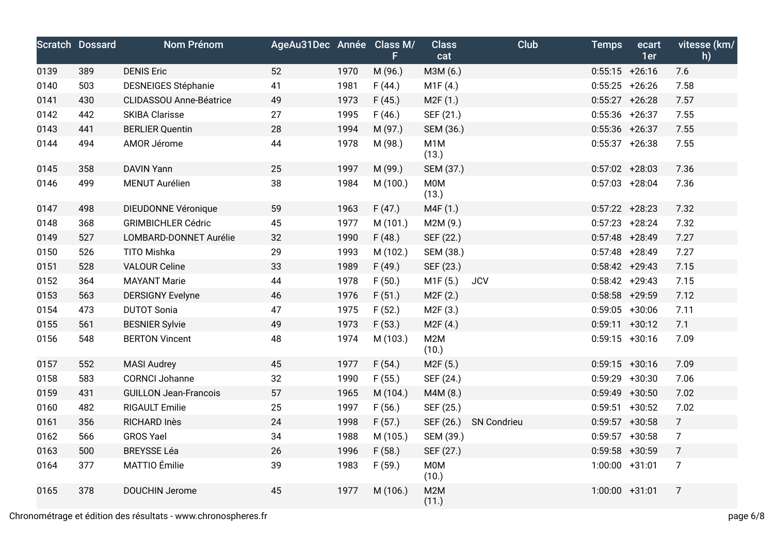|      | <b>Scratch Dossard</b> | Nom Prénom                     | AgeAu31Dec Année Class M/ |      | F.       | <b>Class</b><br>cat       | <b>Club</b> | <b>Temps</b>      | ecart<br>1er      | vitesse (km/<br>h) |
|------|------------------------|--------------------------------|---------------------------|------|----------|---------------------------|-------------|-------------------|-------------------|--------------------|
| 0139 | 389                    | <b>DENIS Eric</b>              | 52                        | 1970 | M (96.)  | M3M (6.)                  |             | $0:55:15$ +26:16  |                   | 7.6                |
| 0140 | 503                    | <b>DESNEIGES Stéphanie</b>     | 41                        | 1981 | F(44.)   | M1F(4.)                   |             | $0:55:25$ +26:26  |                   | 7.58               |
| 0141 | 430                    | <b>CLIDASSOU Anne-Béatrice</b> | 49                        | 1973 | F(45.)   | M2F(1.)                   |             |                   | $0:55:27$ +26:28  | 7.57               |
| 0142 | 442                    | <b>SKIBA Clarisse</b>          | 27                        | 1995 | F(46.)   | SEF (21.)                 |             | $0:55:36$ +26:37  |                   | 7.55               |
| 0143 | 441                    | <b>BERLIER Quentin</b>         | 28                        | 1994 | M (97.)  | SEM (36.)                 |             | $0:55:36$ +26:37  |                   | 7.55               |
| 0144 | 494                    | AMOR Jérome                    | 44                        | 1978 | M (98.)  | M <sub>1</sub> M<br>(13.) |             |                   | $0:55:37$ +26:38  | 7.55               |
| 0145 | 358                    | <b>DAVIN Yann</b>              | 25                        | 1997 | M (99.)  | SEM (37.)                 |             | $0:57:02 +28:03$  |                   | 7.36               |
| 0146 | 499                    | MENUT Aurélien                 | 38                        | 1984 | M (100.) | M0M<br>(13.)              |             |                   | $0:57:03$ +28:04  | 7.36               |
| 0147 | 498                    | DIEUDONNE Véronique            | 59                        | 1963 | F(47.)   | M4F (1.)                  |             | $0:57:22 + 28:23$ |                   | 7.32               |
| 0148 | 368                    | <b>GRIMBICHLER Cédric</b>      | 45                        | 1977 | M (101.) | M2M (9.)                  |             | $0:57:23$ +28:24  |                   | 7.32               |
| 0149 | 527                    | LOMBARD-DONNET Aurélie         | 32                        | 1990 | F(48.)   | SEF (22.)                 |             | $0:57:48$ +28:49  |                   | 7.27               |
| 0150 | 526                    | TITO Mishka                    | 29                        | 1993 | M (102.) | SEM (38.)                 |             | $0:57:48$ +28:49  |                   | 7.27               |
| 0151 | 528                    | <b>VALOUR Celine</b>           | 33                        | 1989 | F(49.)   | SEF (23.)                 |             | $0:58:42 +29:43$  |                   | 7.15               |
| 0152 | 364                    | <b>MAYANT Marie</b>            | 44                        | 1978 | F(50.)   | M1F (5.)                  | <b>JCV</b>  | $0:58:42 +29:43$  |                   | 7.15               |
| 0153 | 563                    | <b>DERSIGNY Evelyne</b>        | 46                        | 1976 | F(51.)   | M2F(2.)                   |             |                   | $0:58:58$ +29:59  | 7.12               |
| 0154 | 473                    | <b>DUTOT Sonia</b>             | 47                        | 1975 | F(52.)   | M2F (3.)                  |             | $0:59:05$ +30:06  |                   | 7.11               |
| 0155 | 561                    | <b>BESNIER Sylvie</b>          | 49                        | 1973 | F(53.)   | M2F(4.)                   |             |                   | $0:59:11 + 30:12$ | 7.1                |
| 0156 | 548                    | <b>BERTON Vincent</b>          | 48                        | 1974 | M (103.) | M2M<br>(10.)              |             |                   | $0:59:15$ +30:16  | 7.09               |
| 0157 | 552                    | <b>MASI Audrey</b>             | 45                        | 1977 | F(54.)   | M <sub>2</sub> F (5.)     |             | $0:59:15$ +30:16  |                   | 7.09               |
| 0158 | 583                    | <b>CORNCI Johanne</b>          | 32                        | 1990 | F(55.)   | SEF (24.)                 |             | $0:59:29$ +30:30  |                   | 7.06               |
| 0159 | 431                    | <b>GUILLON Jean-Francois</b>   | 57                        | 1965 | M (104.) | M4M (8.)                  |             | $0:59:49$ +30:50  |                   | 7.02               |
| 0160 | 482                    | <b>RIGAULT Emilie</b>          | 25                        | 1997 | F(56.)   | SEF (25.)                 |             |                   | $0:59:51$ +30:52  | 7.02               |
| 0161 | 356                    | <b>RICHARD Inès</b>            | 24                        | 1998 | F(57.)   | SEF (26.)                 | SN Condrieu |                   | $0:59:57$ +30:58  | $7\overline{ }$    |
| 0162 | 566                    | <b>GROS Yael</b>               | 34                        | 1988 | M (105.) | SEM (39.)                 |             | $0:59:57$ +30:58  |                   | $\overline{7}$     |
| 0163 | 500                    | <b>BREYSSE Léa</b>             | 26                        | 1996 | F(58.)   | SEF (27.)                 |             | $0:59:58$ +30:59  |                   | $7\overline{ }$    |
| 0164 | 377                    | MATTIO Émilie                  | 39                        | 1983 | F(59.)   | M0M<br>(10.)              |             | $1:00:00$ +31:01  |                   | $\overline{7}$     |
| 0165 | 378                    | <b>DOUCHIN Jerome</b>          | 45                        | 1977 | M (106.) | M2M<br>(11.)              |             | $1:00:00$ +31:01  |                   | $\overline{7}$     |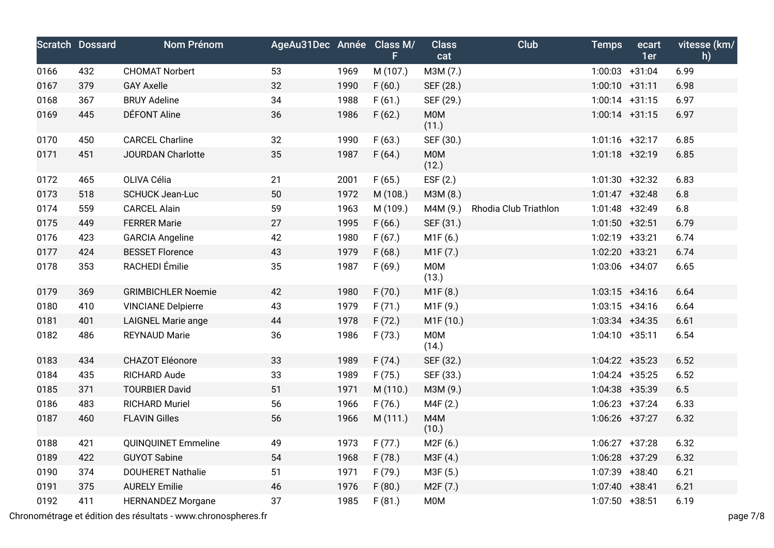|      | <b>Scratch Dossard</b> | Nom Prénom                | AgeAu31Dec Année Class M/ |      | F.       | <b>Class</b><br>cat   | Club                  | <b>Temps</b>      | ecart<br>1er | vitesse (km/<br>h) |
|------|------------------------|---------------------------|---------------------------|------|----------|-----------------------|-----------------------|-------------------|--------------|--------------------|
| 0166 | 432                    | <b>CHOMAT Norbert</b>     | 53                        | 1969 | M (107.) | M3M (7.)              |                       | $1:00:03$ +31:04  |              | 6.99               |
| 0167 | 379                    | <b>GAY Axelle</b>         | 32                        | 1990 | F(60.)   | SEF (28.)             |                       | $1:00:10$ +31:11  |              | 6.98               |
| 0168 | 367                    | <b>BRUY Adeline</b>       | 34                        | 1988 | F(61.)   | SEF (29.)             |                       | $1:00:14$ +31:15  |              | 6.97               |
| 0169 | 445                    | <b>DÉFONT Aline</b>       | 36                        | 1986 | F(62.)   | M0M<br>(11.)          |                       | $1:00:14$ +31:15  |              | 6.97               |
| 0170 | 450                    | <b>CARCEL Charline</b>    | 32                        | 1990 | F(63.)   | SEF (30.)             |                       | $1:01:16$ +32:17  |              | 6.85               |
| 0171 | 451                    | <b>JOURDAN Charlotte</b>  | 35                        | 1987 | F(64.)   | <b>MOM</b><br>(12.)   |                       | $1:01:18$ +32:19  |              | 6.85               |
| 0172 | 465                    | OLIVA Célia               | 21                        | 2001 | F(65.)   | EST(2.)               |                       | $1:01:30$ +32:32  |              | 6.83               |
| 0173 | 518                    | <b>SCHUCK Jean-Luc</b>    | 50                        | 1972 | M (108.) | M3M (8.)              |                       | $1:01:47$ +32:48  |              | 6.8                |
| 0174 | 559                    | <b>CARCEL Alain</b>       | 59                        | 1963 | M (109.) | M4M (9.)              | Rhodia Club Triathlon | 1:01:48 +32:49    |              | $6.8\,$            |
| 0175 | 449                    | <b>FERRER Marie</b>       | 27                        | 1995 | F(66.)   | SEF (31.)             |                       | $1:01:50 +32:51$  |              | 6.79               |
| 0176 | 423                    | <b>GARCIA Angeline</b>    | 42                        | 1980 | F(67.)   | M1F(6.)               |                       | 1:02:19 +33:21    |              | 6.74               |
| 0177 | 424                    | <b>BESSET Florence</b>    | 43                        | 1979 | F(68.)   | M1F(7.)               |                       | 1:02:20 +33:21    |              | 6.74               |
| 0178 | 353                    | RACHEDI Émilie            | 35                        | 1987 | F(69.)   | <b>M0M</b><br>(13.)   |                       | 1:03:06 +34:07    |              | 6.65               |
| 0179 | 369                    | <b>GRIMBICHLER Noemie</b> | 42                        | 1980 | F(70.)   | M1F (8.)              |                       | $1:03:15$ +34:16  |              | 6.64               |
| 0180 | 410                    | <b>VINCIANE Delpierre</b> | 43                        | 1979 | F(71.)   | M1F (9.)              |                       | $1:03:15$ +34:16  |              | 6.64               |
| 0181 | 401                    | <b>LAIGNEL Marie ange</b> | 44                        | 1978 | F(72.)   | M1F (10.)             |                       | 1:03:34 +34:35    |              | 6.61               |
| 0182 | 486                    | <b>REYNAUD Marie</b>      | 36                        | 1986 | F(73.)   | <b>M0M</b><br>(14.)   |                       | $1:04:10 + 35:11$ |              | 6.54               |
| 0183 | 434                    | CHAZOT Eléonore           | 33                        | 1989 | F(74.)   | SEF (32.)             |                       | $1:04:22 +35:23$  |              | 6.52               |
| 0184 | 435                    | <b>RICHARD Aude</b>       | 33                        | 1989 | F(75.)   | SEF (33.)             |                       | $1:04:24$ +35:25  |              | 6.52               |
| 0185 | 371                    | <b>TOURBIER David</b>     | 51                        | 1971 | M (110.) | M3M (9.)              |                       | 1:04:38 +35:39    |              | $6.5$              |
| 0186 | 483                    | <b>RICHARD Muriel</b>     | 56                        | 1966 | F(76.)   | M4F (2.)              |                       | $1:06:23 +37:24$  |              | 6.33               |
| 0187 | 460                    | <b>FLAVIN Gilles</b>      | 56                        | 1966 | M (111.) | M4M<br>(10.)          |                       | $1:06:26$ +37:27  |              | 6.32               |
| 0188 | 421                    | QUINQUINET Emmeline       | 49                        | 1973 | F(77.)   | M2F(6.)               |                       | $1:06:27$ +37:28  |              | 6.32               |
| 0189 | 422                    | <b>GUYOT Sabine</b>       | 54                        | 1968 | F(78.)   | M3F (4.)              |                       | 1:06:28 +37:29    |              | 6.32               |
| 0190 | 374                    | <b>DOUHERET Nathalie</b>  | 51                        | 1971 | F (79.)  | M3F (5.)              |                       | 1:07:39 +38:40    |              | 6.21               |
| 0191 | 375                    | <b>AURELY Emilie</b>      | 46                        | 1976 | F(80.)   | M <sub>2</sub> F (7.) |                       | 1:07:40 +38:41    |              | 6.21               |
| 0192 | 411                    | <b>HERNANDEZ Morgane</b>  | 37                        | 1985 | F(81.)   | M0M                   |                       | $1:07:50$ +38:51  |              | 6.19               |

Chronométrage et édition des résultats - www.chronospheres.fr page 7/8